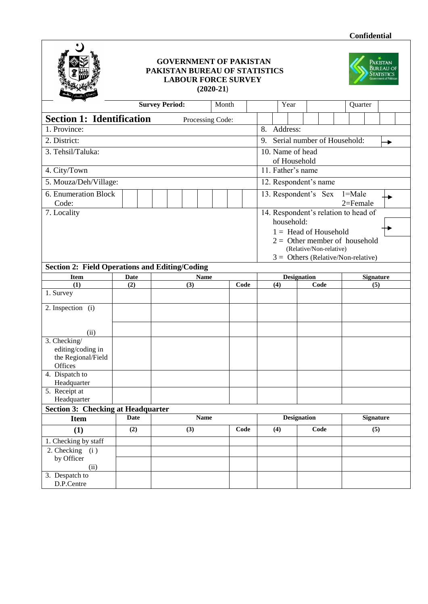

## **GOVERNMENT OF PAKISTAN PAKISTAN BUREAU OF STATISTICS LABOUR FORCE SURVEY (2020-21**)



| <b>Survey Period:</b>                                 |                                                               |             |             |  |     |             |  |  |      |                                            |                                      | Year               |      |      |                         | Quarter                     |                                 |  |  |  |
|-------------------------------------------------------|---------------------------------------------------------------|-------------|-------------|--|-----|-------------|--|--|------|--------------------------------------------|--------------------------------------|--------------------|------|------|-------------------------|-----------------------------|---------------------------------|--|--|--|
|                                                       | Month<br><b>Section 1: Identification</b><br>Processing Code: |             |             |  |     |             |  |  |      |                                            |                                      |                    |      |      |                         |                             |                                 |  |  |  |
| 1. Province:                                          |                                                               |             |             |  |     |             |  |  |      |                                            | 8. Address:                          |                    |      |      |                         |                             |                                 |  |  |  |
|                                                       |                                                               |             |             |  |     |             |  |  |      |                                            |                                      |                    |      |      |                         |                             |                                 |  |  |  |
| 2. District:                                          |                                                               |             |             |  |     |             |  |  |      | 9.                                         |                                      |                    |      |      |                         | Serial number of Household: |                                 |  |  |  |
| 3. Tehsil/Taluka:                                     |                                                               |             |             |  |     |             |  |  |      |                                            | 10. Name of head<br>of Household     |                    |      |      |                         |                             |                                 |  |  |  |
| 4. City/Town                                          |                                                               |             |             |  |     |             |  |  |      | 11. Father's name                          |                                      |                    |      |      |                         |                             |                                 |  |  |  |
| 5. Mouza/Deh/Village:                                 |                                                               |             |             |  |     |             |  |  |      |                                            | 12. Respondent's name                |                    |      |      |                         |                             |                                 |  |  |  |
| 6. Enumeration Block<br>Code:                         |                                                               |             |             |  |     |             |  |  |      | 13. Respondent's Sex<br>1=Male<br>2=Female |                                      |                    |      |      |                         |                             |                                 |  |  |  |
| 7. Locality                                           |                                                               |             |             |  |     |             |  |  |      |                                            | 14. Respondent's relation to head of |                    |      |      |                         |                             |                                 |  |  |  |
|                                                       |                                                               |             |             |  |     |             |  |  |      |                                            | household:                           |                    |      |      |                         |                             |                                 |  |  |  |
|                                                       |                                                               |             |             |  |     |             |  |  |      |                                            |                                      |                    |      |      | $1 =$ Head of Household |                             |                                 |  |  |  |
|                                                       |                                                               |             |             |  |     |             |  |  |      |                                            |                                      |                    |      |      |                         |                             | $2 =$ Other member of household |  |  |  |
|                                                       |                                                               |             |             |  |     |             |  |  |      |                                            |                                      |                    |      |      | (Relative/Non-relative) |                             |                                 |  |  |  |
|                                                       |                                                               |             |             |  |     |             |  |  |      | $3 =$ Others (Relative/Non-relative)       |                                      |                    |      |      |                         |                             |                                 |  |  |  |
| <b>Section 2: Field Operations and Editing/Coding</b> |                                                               |             |             |  |     |             |  |  |      |                                            |                                      | <b>Designation</b> |      |      |                         |                             |                                 |  |  |  |
| <b>Item</b><br>(1)                                    | <b>Date</b><br>(2)                                            |             |             |  | (3) | <b>Name</b> |  |  | Code |                                            | (4)                                  |                    |      | Code |                         |                             | <b>Signature</b><br>(5)         |  |  |  |
| 1. Survey                                             |                                                               |             |             |  |     |             |  |  |      |                                            |                                      |                    |      |      |                         |                             |                                 |  |  |  |
| 2. Inspection (i)                                     |                                                               |             |             |  |     |             |  |  |      |                                            |                                      |                    |      |      |                         |                             |                                 |  |  |  |
|                                                       |                                                               |             |             |  |     |             |  |  |      |                                            |                                      |                    |      |      |                         |                             |                                 |  |  |  |
| (ii)                                                  |                                                               |             |             |  |     |             |  |  |      |                                            |                                      |                    |      |      |                         |                             |                                 |  |  |  |
| 3. Checking/                                          |                                                               |             |             |  |     |             |  |  |      |                                            |                                      |                    |      |      |                         |                             |                                 |  |  |  |
| editing/coding in                                     |                                                               |             |             |  |     |             |  |  |      |                                            |                                      |                    |      |      |                         |                             |                                 |  |  |  |
| the Regional/Field                                    |                                                               |             |             |  |     |             |  |  |      |                                            |                                      |                    |      |      |                         |                             |                                 |  |  |  |
| Offices                                               |                                                               |             |             |  |     |             |  |  |      |                                            |                                      |                    |      |      |                         |                             |                                 |  |  |  |
| 4. Dispatch to<br>Headquarter                         |                                                               |             |             |  |     |             |  |  |      |                                            |                                      |                    |      |      |                         |                             |                                 |  |  |  |
| 5. Receipt at                                         |                                                               |             |             |  |     |             |  |  |      |                                            |                                      |                    |      |      |                         |                             |                                 |  |  |  |
| Headquarter                                           |                                                               |             |             |  |     |             |  |  |      |                                            |                                      |                    |      |      |                         |                             |                                 |  |  |  |
| <b>Section 3: Checking at Headquarter</b>             |                                                               |             |             |  |     |             |  |  |      |                                            |                                      |                    |      |      |                         |                             |                                 |  |  |  |
| Item                                                  |                                                               | <b>Date</b> | Name        |  |     |             |  |  |      | <b>Designation</b>                         |                                      |                    |      |      |                         | <b>Signature</b>            |                                 |  |  |  |
| (1)                                                   | (2)                                                           |             | (3)<br>Code |  |     |             |  |  |      | (4)                                        |                                      |                    | Code |      |                         | (5)                         |                                 |  |  |  |
| 1. Checking by staff                                  |                                                               |             |             |  |     |             |  |  |      |                                            |                                      |                    |      |      |                         |                             |                                 |  |  |  |
| 2. Checking $(i)$<br>by Officer                       |                                                               |             |             |  |     |             |  |  |      |                                            |                                      |                    |      |      |                         |                             |                                 |  |  |  |
| (ii)                                                  |                                                               |             |             |  |     |             |  |  |      |                                            |                                      |                    |      |      |                         |                             |                                 |  |  |  |
| 3. Despatch to                                        |                                                               |             |             |  |     |             |  |  |      |                                            |                                      |                    |      |      |                         |                             |                                 |  |  |  |
| D.P.Centre                                            |                                                               |             |             |  |     |             |  |  |      |                                            |                                      |                    |      |      |                         |                             |                                 |  |  |  |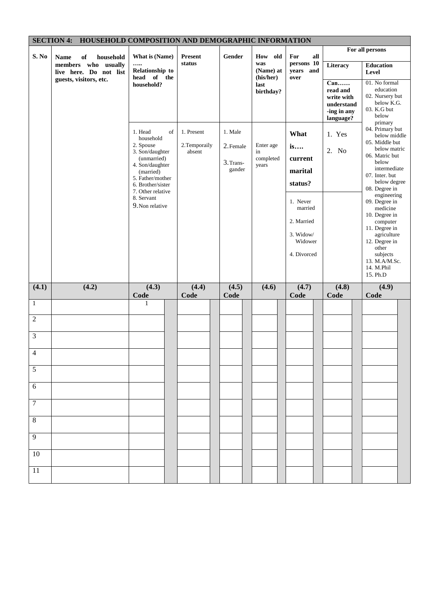|                 | SECTION 4: HOUSEHOLD COMPOSITION AND DEMOGRAPHIC INFORMATION |                                        |                         |               |                               |                                 |                           |                                 |
|-----------------|--------------------------------------------------------------|----------------------------------------|-------------------------|---------------|-------------------------------|---------------------------------|---------------------------|---------------------------------|
| S. No           | <b>Name</b><br>of<br>household                               | What is (Name)                         | Present                 | Gender        | How<br>old                    | For<br>all                      |                           | For all persons                 |
|                 | members who usually<br>live here. Do not list                | <br>Relationship to<br>head of the     | status                  |               | was<br>(Name) at<br>(his/her) | persons 10<br>years and<br>over | Literacy                  | <b>Education</b><br>Level       |
|                 | guests, visitors, etc.                                       | household?                             |                         |               | last<br>birthday?             |                                 | $Can$<br>read and         | 01. No formal<br>education      |
|                 |                                                              |                                        |                         |               |                               |                                 | write with                | 02. Nursery but<br>below K.G.   |
|                 |                                                              |                                        |                         |               |                               |                                 | understand<br>-ing in any | 03. K.G but<br>below            |
|                 |                                                              |                                        |                         |               |                               |                                 | language?                 | primary                         |
|                 |                                                              | 1. Head<br>of<br>household             | 1. Present              | 1. Male       |                               | What                            | 1. Yes                    | 04. Primary but<br>below middle |
|                 |                                                              | 2. Spouse<br>3. Son/daughter           | 2. Temporaily<br>absent | 2. Female     | Enter age<br>in               | is                              | 2. No                     | 05. Middle but<br>below matric  |
|                 |                                                              | (unmarried)<br>4. Son/daughter         |                         | 3. Trans-     | completed<br>years            | current                         |                           | 06. Matric but<br>below         |
|                 |                                                              | (married)<br>5. Father/mother          |                         | gander        |                               | marital                         |                           | intermediate<br>07. Inter. but  |
|                 |                                                              | 6. Brother/sister<br>7. Other relative |                         |               |                               | status?                         |                           | below degree<br>08. Degree in   |
|                 |                                                              | 8. Servant<br>9. Non relative          |                         |               |                               | 1. Never                        |                           | engineering<br>09. Degree in    |
|                 |                                                              |                                        |                         |               |                               | married                         |                           | medicine<br>10. Degree in       |
|                 |                                                              |                                        |                         |               |                               | 2. Married                      |                           | computer<br>11. Degree in       |
|                 |                                                              |                                        |                         |               |                               | 3. Widow/<br>Widower            |                           | agriculture<br>12. Degree in    |
|                 |                                                              |                                        |                         |               |                               | 4. Divorced                     |                           | other<br>subjects               |
|                 |                                                              |                                        |                         |               |                               |                                 |                           | 13. M.A/M.Sc.<br>14. M.Phil     |
|                 |                                                              |                                        |                         |               |                               |                                 |                           | 15. Ph.D                        |
| (4.1)           | (4.2)                                                        | (4.3)<br>Code                          | (4.4)<br>Code           | (4.5)<br>Code | (4.6)                         | (4.7)<br>Code                   | (4.8)<br>Code             | (4.9)<br>Code                   |
| $\mathbf{1}$    |                                                              | 1                                      |                         |               |                               |                                 |                           |                                 |
| $\overline{2}$  |                                                              |                                        |                         |               |                               |                                 |                           |                                 |
| $\mathfrak{Z}$  |                                                              |                                        |                         |               |                               |                                 |                           |                                 |
| $\overline{4}$  |                                                              |                                        |                         |               |                               |                                 |                           |                                 |
| $\sqrt{5}$      |                                                              |                                        |                         |               |                               |                                 |                           |                                 |
| $6\,$           |                                                              |                                        |                         |               |                               |                                 |                           |                                 |
|                 |                                                              |                                        |                         |               |                               |                                 |                           |                                 |
| $\overline{7}$  |                                                              |                                        |                         |               |                               |                                 |                           |                                 |
| $\overline{8}$  |                                                              |                                        |                         |               |                               |                                 |                           |                                 |
| $\overline{9}$  |                                                              |                                        |                         |               |                               |                                 |                           |                                 |
| 10              |                                                              |                                        |                         |               |                               |                                 |                           |                                 |
| $\overline{11}$ |                                                              |                                        |                         |               |                               |                                 |                           |                                 |
|                 |                                                              |                                        |                         |               |                               |                                 |                           |                                 |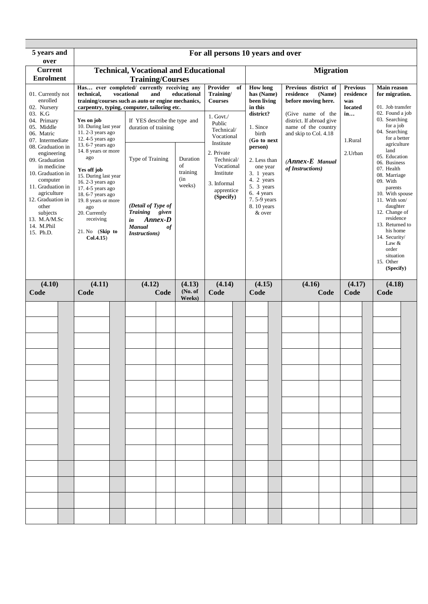| 5 years and<br>over                                                                                                                                                                                                                             |                                                                                                                                                                                                                                                                      |                                                                                                                                                                                                                                                          |                                             | For all persons 10 years and over                                                                          |    |                                                                                                                                                            |                                                                                                                                                           |                  |                                                      |                                                                                                                                                                                                                                                                                                    |  |
|-------------------------------------------------------------------------------------------------------------------------------------------------------------------------------------------------------------------------------------------------|----------------------------------------------------------------------------------------------------------------------------------------------------------------------------------------------------------------------------------------------------------------------|----------------------------------------------------------------------------------------------------------------------------------------------------------------------------------------------------------------------------------------------------------|---------------------------------------------|------------------------------------------------------------------------------------------------------------|----|------------------------------------------------------------------------------------------------------------------------------------------------------------|-----------------------------------------------------------------------------------------------------------------------------------------------------------|------------------|------------------------------------------------------|----------------------------------------------------------------------------------------------------------------------------------------------------------------------------------------------------------------------------------------------------------------------------------------------------|--|
| <b>Current</b>                                                                                                                                                                                                                                  |                                                                                                                                                                                                                                                                      | <b>Technical, Vocational and Educational</b>                                                                                                                                                                                                             |                                             |                                                                                                            |    |                                                                                                                                                            |                                                                                                                                                           | <b>Migration</b> |                                                      |                                                                                                                                                                                                                                                                                                    |  |
| <b>Enrolment</b><br>01. Currently not<br>enrolled<br>02. Nursery<br>03. K.G<br>04. Primary<br>05. Middle<br>06. Matric                                                                                                                          | technical,<br>Yes on job<br>10. During last year<br>11. $2-3$ years ago                                                                                                                                                                                              | <b>Training/Courses</b><br>Has ever completed/ currently receiving any<br>vocational<br>and<br>training/courses such as auto or engine mechanics,<br>carpentry, typing, computer, tailoring etc.<br>If YES describe the type and<br>duration of training | educational                                 | Provider<br>Training/<br><b>Courses</b><br>$1.$ Govt. $/$<br>Public<br>Technical/<br>Vocational            | of | <b>How long</b><br>has (Name)<br>been living<br>in this<br>district?<br>1. Since<br>birth                                                                  | Previous district of<br>residence<br>before moving here.<br>(Give name of the<br>district. If abroad give<br>name of the country<br>and skip to Col. 4.18 | (Name)           | <b>Previous</b><br>residence<br>was<br>located<br>in | Main reason<br>for migration.<br>01. Job transfer<br>02. Found a job<br>03. Searching<br>for a job<br>04. Searching<br>for a better                                                                                                                                                                |  |
| 07. Intermediate<br>08. Graduation in<br>engineering<br>09. Graduation<br>in medicine<br>10. Graduation in<br>computer<br>11. Graduation in<br>agriculture<br>12. Graduation in<br>other<br>subjects<br>13. M.A/M.Sc<br>14. M.Phil<br>15. Ph.D. | 12.4-5 years ago<br>13.6-7 years ago<br>14. 8 years or more<br>ago<br>Yes off job<br>15. During last year<br>16. $2-3$ years ago<br>17.4-5 years ago<br>18.6-7 years ago<br>19. 8 years or more<br>ago<br>20. Currently<br>receiving<br>21. No (Skip to<br>Col.4.15) | Type of Training<br>(Detail of Type of<br><b>Training</b><br>given<br>Annex-D<br>in<br><b>Manual</b><br>of<br><i>Instructions</i> )                                                                                                                      | Duration<br>οf<br>training<br>(in<br>weeks) | Institute<br>2. Private<br>Technical/<br>Vocational<br>Institute<br>3. Informal<br>apprentice<br>(Specify) |    | (Go to next<br>person)<br>2. Less than<br>one year<br>$3.1 \text{ years}$<br>4. 2 years<br>5. 3 years<br>6. 4 years<br>7.5-9 years<br>8.10 years<br>& over | $(Annex-E$ Manual<br>of Instructions)                                                                                                                     |                  | 1.Rural<br>2. Urban                                  | agriculture<br>land<br>05. Education<br>06. Business<br>07. Health<br>08. Marriage<br>09. With<br>parents<br>10. With spouse<br>11. With son/<br>daughter<br>12. Change of<br>residence<br>13. Returned to<br>his home<br>14. Security/<br>Law $&$<br>order<br>situation<br>15. Other<br>(Specify) |  |
| (4.10)<br>Code                                                                                                                                                                                                                                  | (4.11)<br>Code                                                                                                                                                                                                                                                       | (4.12)<br>Code                                                                                                                                                                                                                                           | (4.13)<br>(No. of<br>Weeks)                 | (4.14)<br>Code                                                                                             |    | (4.15)<br>Code                                                                                                                                             | (4.16)                                                                                                                                                    | Code             | (4.17)<br>Code                                       | (4.18)<br>Code                                                                                                                                                                                                                                                                                     |  |
|                                                                                                                                                                                                                                                 |                                                                                                                                                                                                                                                                      |                                                                                                                                                                                                                                                          |                                             |                                                                                                            |    |                                                                                                                                                            |                                                                                                                                                           |                  |                                                      |                                                                                                                                                                                                                                                                                                    |  |
|                                                                                                                                                                                                                                                 |                                                                                                                                                                                                                                                                      |                                                                                                                                                                                                                                                          |                                             |                                                                                                            |    |                                                                                                                                                            |                                                                                                                                                           |                  |                                                      |                                                                                                                                                                                                                                                                                                    |  |
|                                                                                                                                                                                                                                                 |                                                                                                                                                                                                                                                                      |                                                                                                                                                                                                                                                          |                                             |                                                                                                            |    |                                                                                                                                                            |                                                                                                                                                           |                  |                                                      |                                                                                                                                                                                                                                                                                                    |  |
|                                                                                                                                                                                                                                                 |                                                                                                                                                                                                                                                                      |                                                                                                                                                                                                                                                          |                                             |                                                                                                            |    |                                                                                                                                                            |                                                                                                                                                           |                  |                                                      |                                                                                                                                                                                                                                                                                                    |  |
|                                                                                                                                                                                                                                                 |                                                                                                                                                                                                                                                                      |                                                                                                                                                                                                                                                          |                                             |                                                                                                            |    |                                                                                                                                                            |                                                                                                                                                           |                  |                                                      |                                                                                                                                                                                                                                                                                                    |  |
|                                                                                                                                                                                                                                                 |                                                                                                                                                                                                                                                                      |                                                                                                                                                                                                                                                          |                                             |                                                                                                            |    |                                                                                                                                                            |                                                                                                                                                           |                  |                                                      |                                                                                                                                                                                                                                                                                                    |  |
|                                                                                                                                                                                                                                                 |                                                                                                                                                                                                                                                                      |                                                                                                                                                                                                                                                          |                                             |                                                                                                            |    |                                                                                                                                                            |                                                                                                                                                           |                  |                                                      |                                                                                                                                                                                                                                                                                                    |  |
|                                                                                                                                                                                                                                                 |                                                                                                                                                                                                                                                                      |                                                                                                                                                                                                                                                          |                                             |                                                                                                            |    |                                                                                                                                                            |                                                                                                                                                           |                  |                                                      |                                                                                                                                                                                                                                                                                                    |  |
|                                                                                                                                                                                                                                                 |                                                                                                                                                                                                                                                                      |                                                                                                                                                                                                                                                          |                                             |                                                                                                            |    |                                                                                                                                                            |                                                                                                                                                           |                  |                                                      |                                                                                                                                                                                                                                                                                                    |  |
|                                                                                                                                                                                                                                                 |                                                                                                                                                                                                                                                                      |                                                                                                                                                                                                                                                          |                                             |                                                                                                            |    |                                                                                                                                                            |                                                                                                                                                           |                  |                                                      |                                                                                                                                                                                                                                                                                                    |  |
|                                                                                                                                                                                                                                                 |                                                                                                                                                                                                                                                                      |                                                                                                                                                                                                                                                          |                                             |                                                                                                            |    |                                                                                                                                                            |                                                                                                                                                           |                  |                                                      |                                                                                                                                                                                                                                                                                                    |  |
|                                                                                                                                                                                                                                                 |                                                                                                                                                                                                                                                                      |                                                                                                                                                                                                                                                          |                                             |                                                                                                            |    |                                                                                                                                                            |                                                                                                                                                           |                  |                                                      |                                                                                                                                                                                                                                                                                                    |  |
|                                                                                                                                                                                                                                                 |                                                                                                                                                                                                                                                                      |                                                                                                                                                                                                                                                          |                                             |                                                                                                            |    |                                                                                                                                                            |                                                                                                                                                           |                  |                                                      |                                                                                                                                                                                                                                                                                                    |  |
|                                                                                                                                                                                                                                                 |                                                                                                                                                                                                                                                                      |                                                                                                                                                                                                                                                          |                                             |                                                                                                            |    |                                                                                                                                                            |                                                                                                                                                           |                  |                                                      |                                                                                                                                                                                                                                                                                                    |  |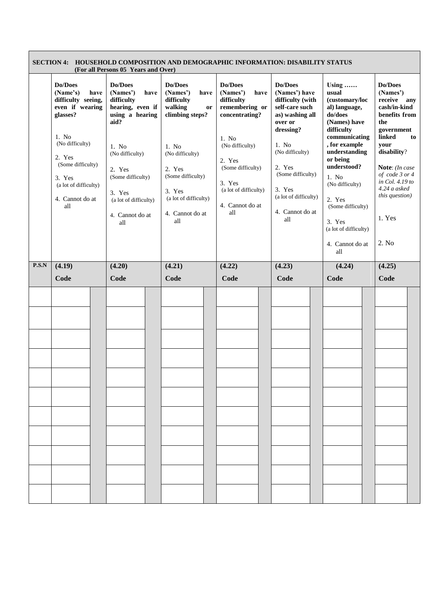|       |                                                                                                                                                                                                          | SECTION 4: HOUSEHOLD COMPOSITION AND DEMOGRAPHIC INFORMATION: DISABILITY STATUS<br>(For all Persons 05 Years and Over)                                                                                           |                                                                                                                                                                                                              |                                                                                                                                                                                                       |                                                                                                                                                                                                                                   |                                                                                                                                                                                                                                                                                                  |                                                                                                                                                                                                                                             |
|-------|----------------------------------------------------------------------------------------------------------------------------------------------------------------------------------------------------------|------------------------------------------------------------------------------------------------------------------------------------------------------------------------------------------------------------------|--------------------------------------------------------------------------------------------------------------------------------------------------------------------------------------------------------------|-------------------------------------------------------------------------------------------------------------------------------------------------------------------------------------------------------|-----------------------------------------------------------------------------------------------------------------------------------------------------------------------------------------------------------------------------------|--------------------------------------------------------------------------------------------------------------------------------------------------------------------------------------------------------------------------------------------------------------------------------------------------|---------------------------------------------------------------------------------------------------------------------------------------------------------------------------------------------------------------------------------------------|
|       | Do/Does<br>(Name's)<br>have<br>difficulty seeing,<br>even if wearing<br>glasses?<br>1. No<br>(No difficulty)<br>2. Yes<br>(Some difficulty)<br>3. Yes<br>(a lot of difficulty)<br>4. Cannot do at<br>all | Do/Does<br>(Names')<br>have<br>difficulty<br>hearing, even if<br>using a hearing<br>aid?<br>1. No<br>(No difficulty)<br>2. Yes<br>(Some difficulty)<br>3. Yes<br>(a lot of difficulty)<br>4. Cannot do at<br>all | Do/Does<br>(Names')<br>have<br>difficulty<br>walking<br><b>or</b><br>climbing steps?<br>1. No<br>(No difficulty)<br>2. Yes<br>(Some difficulty)<br>3. Yes<br>(a lot of difficulty)<br>4. Cannot do at<br>all | Do/Does<br>(Names')<br>have<br>difficulty<br>remembering or<br>concentrating?<br>1. No<br>(No difficulty)<br>2. Yes<br>(Some difficulty)<br>3. Yes<br>(a lot of difficulty)<br>4. Cannot do at<br>all | Do/Does<br>(Names') have<br>difficulty (with<br>self-care such<br>as) washing all<br>over or<br>dressing?<br>1. No<br>(No difficulty)<br>2. Yes<br>(Some difficulty)<br>3. Yes<br>(a lot of difficulty)<br>4. Cannot do at<br>all | Using<br>usual<br>(customary/loc<br>al) language,<br>do/does<br>(Names) have<br>difficulty<br>communicating<br>, for example<br>understanding<br>or being<br>understood?<br>1. No<br>(No difficulty)<br>2. Yes<br>(Some difficulty)<br>3. Yes<br>(a lot of difficulty)<br>4. Cannot do at<br>all | Do/Does<br>(Names')<br>receive any<br>cash/in-kind<br>benefits from<br>the<br>government<br>linked<br>to<br>your<br>disability?<br>Note: (In case<br>of code 3 or 4<br>in Col. 4.19 to<br>4.24 a asked<br>this question)<br>1. Yes<br>2. No |
| P.S.N | (4.19)                                                                                                                                                                                                   | (4.20)                                                                                                                                                                                                           | (4.21)                                                                                                                                                                                                       | (4.22)                                                                                                                                                                                                | (4.23)                                                                                                                                                                                                                            | (4.24)                                                                                                                                                                                                                                                                                           | (4.25)                                                                                                                                                                                                                                      |
|       | Code                                                                                                                                                                                                     | Code                                                                                                                                                                                                             | Code                                                                                                                                                                                                         | Code                                                                                                                                                                                                  | Code                                                                                                                                                                                                                              | Code                                                                                                                                                                                                                                                                                             | Code                                                                                                                                                                                                                                        |
|       |                                                                                                                                                                                                          |                                                                                                                                                                                                                  |                                                                                                                                                                                                              |                                                                                                                                                                                                       |                                                                                                                                                                                                                                   |                                                                                                                                                                                                                                                                                                  |                                                                                                                                                                                                                                             |

Ē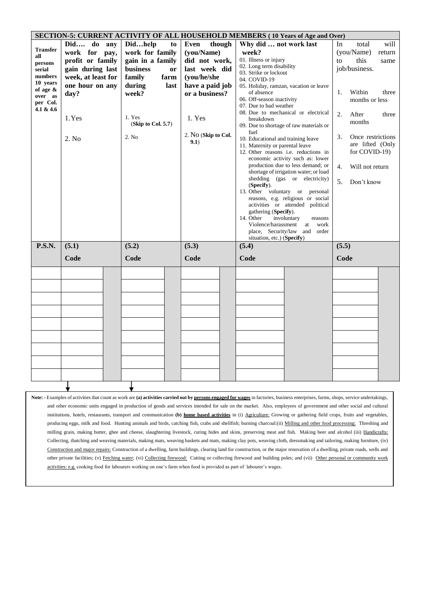|                     |                    |                       |                             | <b>SECTION-5: CURRENT ACTIVITY OF ALL HOUSEHOLD MEMBERS (10 Years of Age and Over)</b> |                         |
|---------------------|--------------------|-----------------------|-----------------------------|----------------------------------------------------------------------------------------|-------------------------|
|                     | Did do any         | Didhelp<br>to         | though<br><b>Even</b>       | Why did  not work last                                                                 | will<br>In<br>total     |
| <b>Transfer</b>     | work for pay,      | work for family       | (you/Name)                  | week?                                                                                  | (you/Name)<br>return    |
| all<br>persons      | profit or family   | gain in a family      | did not work,               | 01. Illness or injury                                                                  | this<br>to<br>same      |
| serial              | gain during last   | <b>business</b><br>or | last week did               | 02. Long term disability                                                               | job/business.           |
| numbers             | week, at least for | family<br>farm        | (you/he/she                 | 03. Strike or lockout<br>04. COVID-19                                                  |                         |
| 10 years            | one hour on any    | during<br>last        | have a paid job             | 05. Holiday, ramzan, vacation or leave                                                 |                         |
| of age &            | day?               | week?                 | or a business?              | of absence                                                                             | Within<br>1.<br>three   |
| over as<br>per Col. |                    |                       |                             | 06. Off-season inactivity                                                              | months or less          |
| 4.1 & 4.6           |                    |                       |                             | 07. Due to bad weather                                                                 |                         |
|                     | 1.Yes              | 1. Yes                | 1. Yes                      | 08. Due to mechanical or electrical<br>breakdown                                       | 2.<br>After<br>three    |
|                     |                    | (Skip to Col. 5.7)    |                             | 09. Due to shortage of raw materials or                                                | months                  |
|                     |                    |                       |                             | fuel                                                                                   |                         |
|                     | 2. No              | 2. No                 | 2. No (Skip to Col.<br>9.1) | 10. Educational and training leave                                                     | 3.<br>Once restrictions |
|                     |                    |                       |                             | 11. Maternity or parental leave                                                        | are lifted (Only        |
|                     |                    |                       |                             | 12. Other reasons i.e. reductions in<br>economic activity such as: lower               | for COVID-19)           |
|                     |                    |                       |                             | production due to less demand; or                                                      | Will not return<br>4.   |
|                     |                    |                       |                             | shortage of irrigation water; or load                                                  |                         |
|                     |                    |                       |                             | shedding (gas or electricity)                                                          | 5.<br>Don't know        |
|                     |                    |                       |                             | (Specify).                                                                             |                         |
|                     |                    |                       |                             | 13. Other voluntary or<br>personal<br>reasons, e.g. religious or social                |                         |
|                     |                    |                       |                             | activities or attended political                                                       |                         |
|                     |                    |                       |                             | gathering (Specify).                                                                   |                         |
|                     |                    |                       |                             | 14. Other<br>involuntary<br>reasons                                                    |                         |
|                     |                    |                       |                             | Violence/harassment<br>at<br>work                                                      |                         |
|                     |                    |                       |                             | place, Security/law and order<br>situation, etc.) (Specify)                            |                         |
| <b>P.S.N.</b>       | (5.1)              | (5.2)                 | (5.3)                       | (5.4)                                                                                  | (5.5)                   |
|                     | Code               | Code                  | Code                        | Code                                                                                   | Code                    |
|                     |                    |                       |                             |                                                                                        |                         |
|                     |                    |                       |                             |                                                                                        |                         |
|                     |                    |                       |                             |                                                                                        |                         |
|                     |                    |                       |                             |                                                                                        |                         |
|                     |                    |                       |                             |                                                                                        |                         |
|                     |                    |                       |                             |                                                                                        |                         |
|                     |                    |                       |                             |                                                                                        |                         |
|                     |                    |                       |                             |                                                                                        |                         |
|                     |                    |                       |                             |                                                                                        |                         |
|                     |                    |                       |                             |                                                                                        |                         |
|                     |                    |                       |                             |                                                                                        |                         |
|                     |                    |                       |                             |                                                                                        |                         |
|                     |                    |                       |                             |                                                                                        |                         |
|                     |                    |                       |                             |                                                                                        |                         |
|                     |                    |                       |                             |                                                                                        |                         |

**Note: -** Examples of activities that count as work are **(a) activities carried out by persons engaged for wages** in factories, business enterprises, farms, shops, service undertakings, and other economic units engaged in production of goods and services intended for sale on the market. Also, employees of government and other social and cultural institutions, hotels, restaurants, transport and communication **(b) home based activities** in (i) Agriculture: Growing or gathering field crops, fruits and vegetables, producing eggs, milk and food. Hunting animals and birds, catching fish, crabs and shellfish; burning charcoal:(ii) Milling and other food processing: Threshing and milling grain, making butter, ghee and cheese, slaughtering livestock, curing hides and skins, preserving meat and fish. Making beer and alcohol (iii) Handicrafts: Collecting, thatching and weaving materials, making mats, weaving baskets and mats, making clay pots, weaving cloth, dressmaking and tailoring, making furniture, (iv) Construction and major repairs: Construction of a dwelling, farm buildings, clearing land for construction, or the major renovation of a dwelling, private roads, wells and other private facilities; (v) Fetching water; (vi) Collecting firewood: Cutting or collecting firewood and building poles; and (vii) Other personal or community work activities: e.g. cooking food for labourers working on one's farm when food is provided as part of labourer's wages.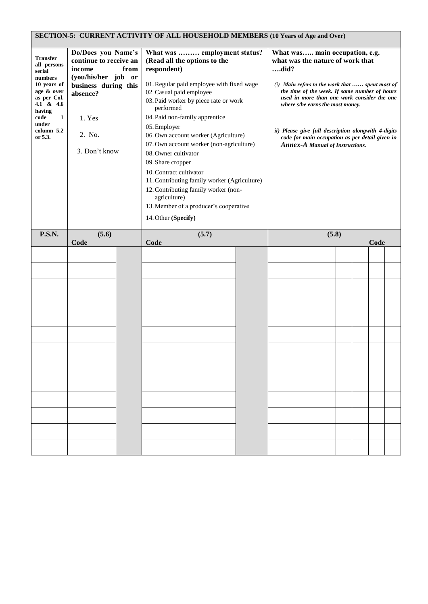## **SECTION-5: CURRENT ACTIVITY OF ALL HOUSEHOLD MEMBERS (10 Years of Age and Over)**

| Transfer<br>all persons<br>serial<br>numbers<br>10 years of<br>age & over<br>as per Col.<br>4.1 & 4.6<br>having<br>code<br>1<br>under<br>column 5.2<br>or 5.3. | Do/Does you Name's<br>continue to receive an<br>income<br>from<br>(you/his/her job or<br>business during this<br>absence?<br>1. Yes<br>2. No.<br>3. Don't know | What was  employment status?<br>(Read all the options to the<br>respondent)<br>01. Regular paid employee with fixed wage<br>02 Casual paid employee<br>03. Paid worker by piece rate or work<br>performed<br>04. Paid non-family apprentice<br>05. Employer<br>06. Own account worker (Agriculture)<br>07. Own account worker (non-agriculture)<br>08. Owner cultivator<br>09. Share cropper<br>10. Contract cultivator<br>11. Contributing family worker (Agriculture)<br>12. Contributing family worker (non-<br>agriculture)<br>13. Member of a producer's cooperative<br>14. Other (Specify) | What was main occupation, e.g.<br>what was the nature of work that<br>did?<br>(i) Main refers to the work that  spent most of<br>the time of the week. If same number of hours<br>used in more than one work consider the one<br>where s/he earns the most money.<br>ii) Please give full description alongwith 4-digits<br>code for main occupation as per detail given in<br><b>Annex-A Manual of Instructions.</b> |
|----------------------------------------------------------------------------------------------------------------------------------------------------------------|----------------------------------------------------------------------------------------------------------------------------------------------------------------|--------------------------------------------------------------------------------------------------------------------------------------------------------------------------------------------------------------------------------------------------------------------------------------------------------------------------------------------------------------------------------------------------------------------------------------------------------------------------------------------------------------------------------------------------------------------------------------------------|-----------------------------------------------------------------------------------------------------------------------------------------------------------------------------------------------------------------------------------------------------------------------------------------------------------------------------------------------------------------------------------------------------------------------|
| <b>P.S.N.</b>                                                                                                                                                  | (5.6)<br>Code                                                                                                                                                  | (5.7)<br>Code                                                                                                                                                                                                                                                                                                                                                                                                                                                                                                                                                                                    | (5.8)<br>Code                                                                                                                                                                                                                                                                                                                                                                                                         |
|                                                                                                                                                                |                                                                                                                                                                |                                                                                                                                                                                                                                                                                                                                                                                                                                                                                                                                                                                                  |                                                                                                                                                                                                                                                                                                                                                                                                                       |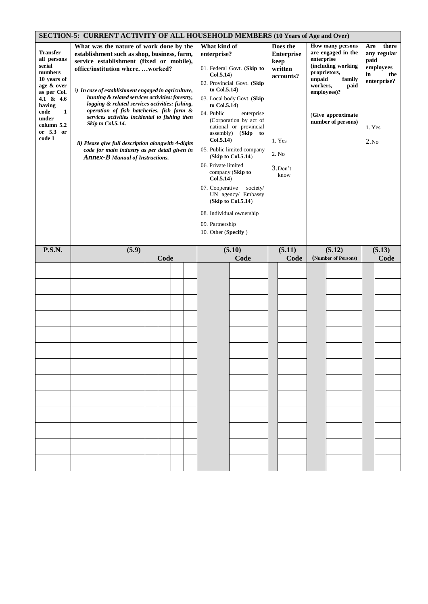| <b>SECTION-5: CURRENT ACTIVITY OF ALL HOUSEHOLD MEMBERS (10 Years of Age and Over)</b><br><b>How many persons</b><br>there<br>What was the nature of work done by the<br>What kind of<br>Does the<br>Are |                                                                                                                                                                                                                                                                                                                                                                                                                                                                                                                                                                |      |  |  |  |                                                                                                                                                                                         |                                                                                                                                                                                                                                                                                                                                            |                                                                                         |                                  |                                                                                                                                      |                              |                                                |
|----------------------------------------------------------------------------------------------------------------------------------------------------------------------------------------------------------|----------------------------------------------------------------------------------------------------------------------------------------------------------------------------------------------------------------------------------------------------------------------------------------------------------------------------------------------------------------------------------------------------------------------------------------------------------------------------------------------------------------------------------------------------------------|------|--|--|--|-----------------------------------------------------------------------------------------------------------------------------------------------------------------------------------------|--------------------------------------------------------------------------------------------------------------------------------------------------------------------------------------------------------------------------------------------------------------------------------------------------------------------------------------------|-----------------------------------------------------------------------------------------|----------------------------------|--------------------------------------------------------------------------------------------------------------------------------------|------------------------------|------------------------------------------------|
| <b>Transfer</b><br>all persons<br>serial<br>numbers<br>10 years of<br>age & over<br>as per Col.<br>4.1 & 4.6<br>having<br>code<br>1<br>under<br>column 5.2<br>or 5.3 or<br>code 1                        | establishment such as shop, business, farm,<br>service establishment (fixed or mobile),<br>office/institution whereworked?<br>i) In case of establishment engaged in agriculture,<br>hunting & related services activities: forestry,<br>logging & related services activities: fishing,<br>operation of fish hatcheries, fish farm &<br>services activities incidental to fishing then<br>Skip to Col.5.14.<br>ii) Please give full description alongwith 4-digits<br>code for main industry as per detail given in<br><b>Annex-B</b> Manual of Instructions. |      |  |  |  | enterprise?<br>Col.5.14)<br>to $Col.5.14$ )<br>to Col.5.14)<br>04. Public<br>Col.5.14)<br>06. Private limited<br>Col.5.14)<br>07. Cooperative<br>09. Partnership<br>10. Other (Specify) | 01. Federal Govt. (Skip to<br>02. Provincial Govt. (Skip<br>03. Local body Govt. (Skip<br>enterprise<br>(Corporation by act of<br>national or provincial<br>assembly) (Skip to<br>05. Public limited company<br>(Skip to Col.5.14)<br>company (Skip to<br>society/<br>UN agency/ Embassy<br>(Skip to Col.5.14)<br>08. Individual ownership | <b>Enterprise</b><br>keep<br>written<br>accounts?<br>1. Yes<br>2. No<br>3.Don't<br>know | enterprise<br>unpaid<br>workers, | are engaged in the<br>(including working<br>proprietors,<br>family<br>paid<br>employees)?<br>(Give approximate<br>number of persons) | paid<br>in<br>1. Yes<br>2.No | any regular<br>employees<br>the<br>enterprise? |
| <b>P.S.N.</b>                                                                                                                                                                                            | (5.9)                                                                                                                                                                                                                                                                                                                                                                                                                                                                                                                                                          | Code |  |  |  | (5.10)                                                                                                                                                                                  | (5.11)                                                                                                                                                                                                                                                                                                                                     |                                                                                         | (5.12)                           |                                                                                                                                      | (5.13)                       |                                                |
|                                                                                                                                                                                                          |                                                                                                                                                                                                                                                                                                                                                                                                                                                                                                                                                                |      |  |  |  |                                                                                                                                                                                         | Code                                                                                                                                                                                                                                                                                                                                       | Code                                                                                    |                                  | (Number of Persons)                                                                                                                  |                              | Code                                           |
|                                                                                                                                                                                                          |                                                                                                                                                                                                                                                                                                                                                                                                                                                                                                                                                                |      |  |  |  |                                                                                                                                                                                         |                                                                                                                                                                                                                                                                                                                                            |                                                                                         |                                  |                                                                                                                                      |                              |                                                |
|                                                                                                                                                                                                          |                                                                                                                                                                                                                                                                                                                                                                                                                                                                                                                                                                |      |  |  |  |                                                                                                                                                                                         |                                                                                                                                                                                                                                                                                                                                            |                                                                                         |                                  |                                                                                                                                      |                              |                                                |
|                                                                                                                                                                                                          |                                                                                                                                                                                                                                                                                                                                                                                                                                                                                                                                                                |      |  |  |  |                                                                                                                                                                                         |                                                                                                                                                                                                                                                                                                                                            |                                                                                         |                                  |                                                                                                                                      |                              |                                                |
|                                                                                                                                                                                                          |                                                                                                                                                                                                                                                                                                                                                                                                                                                                                                                                                                |      |  |  |  |                                                                                                                                                                                         |                                                                                                                                                                                                                                                                                                                                            |                                                                                         |                                  |                                                                                                                                      |                              |                                                |
|                                                                                                                                                                                                          |                                                                                                                                                                                                                                                                                                                                                                                                                                                                                                                                                                |      |  |  |  |                                                                                                                                                                                         |                                                                                                                                                                                                                                                                                                                                            |                                                                                         |                                  |                                                                                                                                      |                              |                                                |
|                                                                                                                                                                                                          |                                                                                                                                                                                                                                                                                                                                                                                                                                                                                                                                                                |      |  |  |  |                                                                                                                                                                                         |                                                                                                                                                                                                                                                                                                                                            |                                                                                         |                                  |                                                                                                                                      |                              |                                                |
|                                                                                                                                                                                                          |                                                                                                                                                                                                                                                                                                                                                                                                                                                                                                                                                                |      |  |  |  |                                                                                                                                                                                         |                                                                                                                                                                                                                                                                                                                                            |                                                                                         |                                  |                                                                                                                                      |                              |                                                |
|                                                                                                                                                                                                          |                                                                                                                                                                                                                                                                                                                                                                                                                                                                                                                                                                |      |  |  |  |                                                                                                                                                                                         |                                                                                                                                                                                                                                                                                                                                            |                                                                                         |                                  |                                                                                                                                      |                              |                                                |
|                                                                                                                                                                                                          |                                                                                                                                                                                                                                                                                                                                                                                                                                                                                                                                                                |      |  |  |  |                                                                                                                                                                                         |                                                                                                                                                                                                                                                                                                                                            |                                                                                         |                                  |                                                                                                                                      |                              |                                                |
|                                                                                                                                                                                                          |                                                                                                                                                                                                                                                                                                                                                                                                                                                                                                                                                                |      |  |  |  |                                                                                                                                                                                         |                                                                                                                                                                                                                                                                                                                                            |                                                                                         |                                  |                                                                                                                                      |                              |                                                |
|                                                                                                                                                                                                          |                                                                                                                                                                                                                                                                                                                                                                                                                                                                                                                                                                |      |  |  |  |                                                                                                                                                                                         |                                                                                                                                                                                                                                                                                                                                            |                                                                                         |                                  |                                                                                                                                      |                              |                                                |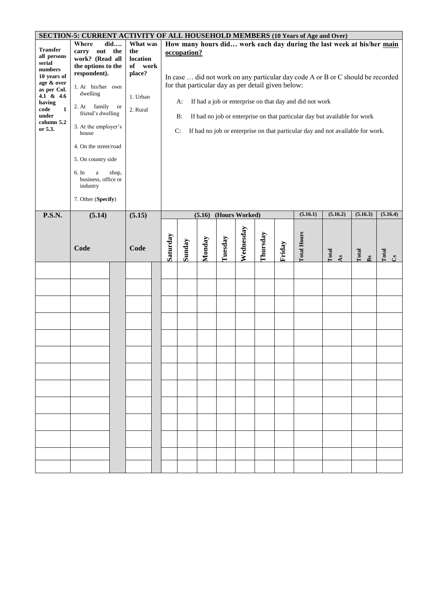|                                                                                                                                                                       | SECTION-5: CURRENT ACTIVITY OF ALL HOUSEHOLD MEMBERS (10 Years of Age and Over)                                                                                                                                                                                                                                        |                           |                                                                          |          |                                                                                        |        |                |           |          |        |                                                         |                                                                                                                                                                                                                                                                                                                         |             |            |
|-----------------------------------------------------------------------------------------------------------------------------------------------------------------------|------------------------------------------------------------------------------------------------------------------------------------------------------------------------------------------------------------------------------------------------------------------------------------------------------------------------|---------------------------|--------------------------------------------------------------------------|----------|----------------------------------------------------------------------------------------|--------|----------------|-----------|----------|--------|---------------------------------------------------------|-------------------------------------------------------------------------------------------------------------------------------------------------------------------------------------------------------------------------------------------------------------------------------------------------------------------------|-------------|------------|
| <b>Transfer</b><br>all persons<br>serial<br>numbers<br>10 years of<br>age & over<br>as per Col.<br>4.1 & 4.6<br>having<br>code<br>1<br>under<br>column 5.2<br>or 5.3. | Where<br>out the<br>carry<br>work? (Read all<br>the options to the<br>respondent).<br>1. At his/her own<br>dwelling<br>2. At family<br>friend's dwelling<br>3. At the employer's<br>house<br>4. On the street/road<br>5. On country side<br>6. In<br>$\rm{a}$<br>business, office or<br>industry<br>7. Other (Specify) | did<br><b>or</b><br>shop, | What was<br>the<br>location<br>of work<br>place?<br>1. Urban<br>2. Rural |          | occupation?<br>for that particular day as per detail given below:<br>A:<br>$B$ :<br>C: |        |                |           |          |        | If had a job or enterprise on that day and did not work | How many hours did work each day during the last week at his/her main<br>In case  did not work on any particular day code A or B or C should be recorded<br>If had no job or enterprise on that particular day but available for work<br>If had no job or enterprise on that particular day and not available for work. |             |            |
| <b>P.S.N.</b>                                                                                                                                                         | (5.14)                                                                                                                                                                                                                                                                                                                 |                           | (5.15)                                                                   |          |                                                                                        | (5.16) | (Hours Worked) |           |          |        | (5.16.1)                                                | (5.16.2)                                                                                                                                                                                                                                                                                                                | (5.16.3)    | (5.16.4)   |
|                                                                                                                                                                       | Code                                                                                                                                                                                                                                                                                                                   |                           | Code                                                                     | Saturday | Sunday                                                                                 | Monday | Tuesday        | Wednesday | Thursday | Friday | <b>Total Hours</b>                                      | Total<br>As                                                                                                                                                                                                                                                                                                             | Total<br>Bs | Total<br>ථ |
|                                                                                                                                                                       |                                                                                                                                                                                                                                                                                                                        |                           |                                                                          |          |                                                                                        |        |                |           |          |        |                                                         |                                                                                                                                                                                                                                                                                                                         |             |            |
|                                                                                                                                                                       |                                                                                                                                                                                                                                                                                                                        |                           |                                                                          |          |                                                                                        |        |                |           |          |        |                                                         |                                                                                                                                                                                                                                                                                                                         |             |            |
|                                                                                                                                                                       |                                                                                                                                                                                                                                                                                                                        |                           |                                                                          |          |                                                                                        |        |                |           |          |        |                                                         |                                                                                                                                                                                                                                                                                                                         |             |            |
|                                                                                                                                                                       |                                                                                                                                                                                                                                                                                                                        |                           |                                                                          |          |                                                                                        |        |                |           |          |        |                                                         |                                                                                                                                                                                                                                                                                                                         |             |            |
|                                                                                                                                                                       |                                                                                                                                                                                                                                                                                                                        |                           |                                                                          |          |                                                                                        |        |                |           |          |        |                                                         |                                                                                                                                                                                                                                                                                                                         |             |            |
|                                                                                                                                                                       |                                                                                                                                                                                                                                                                                                                        |                           |                                                                          |          |                                                                                        |        |                |           |          |        |                                                         |                                                                                                                                                                                                                                                                                                                         |             |            |
|                                                                                                                                                                       |                                                                                                                                                                                                                                                                                                                        |                           |                                                                          |          |                                                                                        |        |                |           |          |        |                                                         |                                                                                                                                                                                                                                                                                                                         |             |            |
|                                                                                                                                                                       |                                                                                                                                                                                                                                                                                                                        |                           |                                                                          |          |                                                                                        |        |                |           |          |        |                                                         |                                                                                                                                                                                                                                                                                                                         |             |            |
|                                                                                                                                                                       |                                                                                                                                                                                                                                                                                                                        |                           |                                                                          |          |                                                                                        |        |                |           |          |        |                                                         |                                                                                                                                                                                                                                                                                                                         |             |            |
|                                                                                                                                                                       |                                                                                                                                                                                                                                                                                                                        |                           |                                                                          |          |                                                                                        |        |                |           |          |        |                                                         |                                                                                                                                                                                                                                                                                                                         |             |            |
|                                                                                                                                                                       |                                                                                                                                                                                                                                                                                                                        |                           |                                                                          |          |                                                                                        |        |                |           |          |        |                                                         |                                                                                                                                                                                                                                                                                                                         |             |            |
|                                                                                                                                                                       |                                                                                                                                                                                                                                                                                                                        |                           |                                                                          |          |                                                                                        |        |                |           |          |        |                                                         |                                                                                                                                                                                                                                                                                                                         |             |            |
|                                                                                                                                                                       |                                                                                                                                                                                                                                                                                                                        |                           |                                                                          |          |                                                                                        |        |                |           |          |        |                                                         |                                                                                                                                                                                                                                                                                                                         |             |            |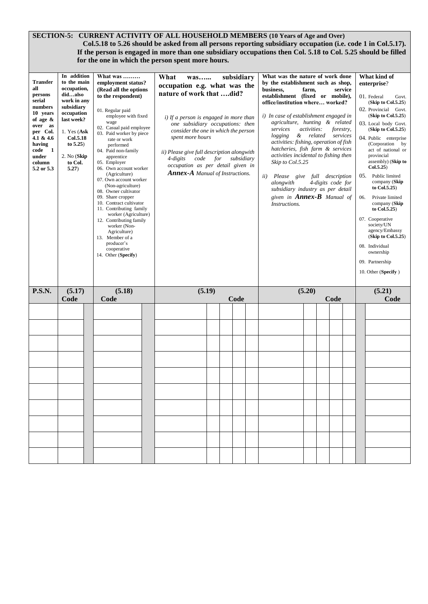## **SECTION-5: CURRENT ACTIVITY OF ALL HOUSEHOLD MEMBERS (10 Years of Age and Over) Col.5.18 to 5.26 should be asked from all persons reporting subsidiary occupation (i.e. code 1 in Col.5.17). If the person is engaged in more than one subsidiary occupations then Col. 5.18 to Col. 5.25 should be filled for the one in which the person spent more hours.**

| <b>Transfer</b><br>all<br>persons<br>serial<br>numbers<br>10 years<br>of age &<br>over as<br>per Col.<br>4.1 & 4.6<br>having<br>code<br>- 1<br>under<br>column<br>5.2 or 5.3 | In addition<br>to the main<br>occupation,<br>didalso<br>work in any<br>subsidiary<br>occupation<br>last week?<br>1. Yes $(Ask)$<br><b>Col.5.18</b><br>to $5.25$ )<br>2. No (Skip)<br>to Col.<br>5.27) | What was<br>employment status?<br>(Read all the options<br>to the respondent)<br>01. Regular paid<br>employee with fixed<br>wage<br>02. Casual paid employee<br>03. Paid worker by piece<br>rate or work<br>performed<br>04. Paid non-family<br>apprentice<br>05. Employer<br>06. Own account worker<br>(Agriculture)<br>07. Own account worker<br>(Non-agriculture)<br>08. Owner cultivator<br>09. Share cropper<br>10. Contract cultivator<br>11. Contributing family<br>worker (Agriculture)<br>12. Contributing family<br>worker (Non-<br>Agriculture)<br>13. Member of a<br>producer's<br>cooperative<br>14. Other (Specify) | What<br>was<br>occupation e.g. what was the<br>nature of work that did?<br>i) If a person is engaged in more than<br>one subsidiary occupations: then<br>consider the one in which the person<br>spent more hours<br>ii) Please give full description alongwith<br>4-digits<br>code<br>occupation as per detail given in<br><b>Annex-A</b> Manual of Instructions. | for | subsidiary<br>subsidiary | What was the nature of work done<br>by the establishment such as shop,<br>business,<br>establishment (fixed or mobile),<br>office/institution where worked?<br>i) In case of establishment engaged in<br>agriculture, hunting & related<br>services<br>logging<br>activities: fishing, operation of fish<br>hatcheries, fish farm & services<br>activities incidental to fishing then<br>Skip to Col.5.25<br>ii)<br>Please give full description<br>alongwith<br>subsidiary industry as per detail<br>given in <b>Annex-B</b> Manual of<br>Instructions. | farm,<br>activities: | forestry,<br>& related services<br>4-digits code for | service | 06. | What kind of<br>enterprise?<br>01. Federal<br>Govt.<br>(Skip to Col.5.25)<br>02. Provincial Govt.<br>(Skip to Col.5.25)<br>03. Local body Govt.<br>(Skip to Col.5.25)<br>04. Public enterprise<br>(Corporation by<br>act of national or<br>provincial<br>assembly) (Skip to<br>Col.5.25)<br>05. Public limited<br>company (Skip<br>to Col.5.25)<br>Private limited<br>company (Skip<br>to Col.5.25)<br>07. Cooperative<br>society/UN<br>agency/Embassy<br>(Skip to Col.5.25)<br>08. Individual<br>ownership<br>09. Partnership<br>10. Other (Specify) |
|------------------------------------------------------------------------------------------------------------------------------------------------------------------------------|-------------------------------------------------------------------------------------------------------------------------------------------------------------------------------------------------------|-----------------------------------------------------------------------------------------------------------------------------------------------------------------------------------------------------------------------------------------------------------------------------------------------------------------------------------------------------------------------------------------------------------------------------------------------------------------------------------------------------------------------------------------------------------------------------------------------------------------------------------|--------------------------------------------------------------------------------------------------------------------------------------------------------------------------------------------------------------------------------------------------------------------------------------------------------------------------------------------------------------------|-----|--------------------------|----------------------------------------------------------------------------------------------------------------------------------------------------------------------------------------------------------------------------------------------------------------------------------------------------------------------------------------------------------------------------------------------------------------------------------------------------------------------------------------------------------------------------------------------------------|----------------------|------------------------------------------------------|---------|-----|-------------------------------------------------------------------------------------------------------------------------------------------------------------------------------------------------------------------------------------------------------------------------------------------------------------------------------------------------------------------------------------------------------------------------------------------------------------------------------------------------------------------------------------------------------|
| <b>P.S.N.</b>                                                                                                                                                                | (5.17)<br>Code                                                                                                                                                                                        | (5.18)<br>Code                                                                                                                                                                                                                                                                                                                                                                                                                                                                                                                                                                                                                    | (5.19)                                                                                                                                                                                                                                                                                                                                                             |     | Code                     |                                                                                                                                                                                                                                                                                                                                                                                                                                                                                                                                                          | (5.20)               | Code                                                 |         |     | (5.21)<br>Code                                                                                                                                                                                                                                                                                                                                                                                                                                                                                                                                        |
|                                                                                                                                                                              |                                                                                                                                                                                                       |                                                                                                                                                                                                                                                                                                                                                                                                                                                                                                                                                                                                                                   |                                                                                                                                                                                                                                                                                                                                                                    |     |                          |                                                                                                                                                                                                                                                                                                                                                                                                                                                                                                                                                          |                      |                                                      |         |     |                                                                                                                                                                                                                                                                                                                                                                                                                                                                                                                                                       |
|                                                                                                                                                                              |                                                                                                                                                                                                       |                                                                                                                                                                                                                                                                                                                                                                                                                                                                                                                                                                                                                                   |                                                                                                                                                                                                                                                                                                                                                                    |     |                          |                                                                                                                                                                                                                                                                                                                                                                                                                                                                                                                                                          |                      |                                                      |         |     |                                                                                                                                                                                                                                                                                                                                                                                                                                                                                                                                                       |
|                                                                                                                                                                              |                                                                                                                                                                                                       |                                                                                                                                                                                                                                                                                                                                                                                                                                                                                                                                                                                                                                   |                                                                                                                                                                                                                                                                                                                                                                    |     |                          |                                                                                                                                                                                                                                                                                                                                                                                                                                                                                                                                                          |                      |                                                      |         |     |                                                                                                                                                                                                                                                                                                                                                                                                                                                                                                                                                       |
|                                                                                                                                                                              |                                                                                                                                                                                                       |                                                                                                                                                                                                                                                                                                                                                                                                                                                                                                                                                                                                                                   |                                                                                                                                                                                                                                                                                                                                                                    |     |                          |                                                                                                                                                                                                                                                                                                                                                                                                                                                                                                                                                          |                      |                                                      |         |     |                                                                                                                                                                                                                                                                                                                                                                                                                                                                                                                                                       |
|                                                                                                                                                                              |                                                                                                                                                                                                       |                                                                                                                                                                                                                                                                                                                                                                                                                                                                                                                                                                                                                                   |                                                                                                                                                                                                                                                                                                                                                                    |     |                          |                                                                                                                                                                                                                                                                                                                                                                                                                                                                                                                                                          |                      |                                                      |         |     |                                                                                                                                                                                                                                                                                                                                                                                                                                                                                                                                                       |
|                                                                                                                                                                              |                                                                                                                                                                                                       |                                                                                                                                                                                                                                                                                                                                                                                                                                                                                                                                                                                                                                   |                                                                                                                                                                                                                                                                                                                                                                    |     |                          |                                                                                                                                                                                                                                                                                                                                                                                                                                                                                                                                                          |                      |                                                      |         |     |                                                                                                                                                                                                                                                                                                                                                                                                                                                                                                                                                       |
|                                                                                                                                                                              |                                                                                                                                                                                                       |                                                                                                                                                                                                                                                                                                                                                                                                                                                                                                                                                                                                                                   |                                                                                                                                                                                                                                                                                                                                                                    |     |                          |                                                                                                                                                                                                                                                                                                                                                                                                                                                                                                                                                          |                      |                                                      |         |     |                                                                                                                                                                                                                                                                                                                                                                                                                                                                                                                                                       |
|                                                                                                                                                                              |                                                                                                                                                                                                       |                                                                                                                                                                                                                                                                                                                                                                                                                                                                                                                                                                                                                                   |                                                                                                                                                                                                                                                                                                                                                                    |     |                          |                                                                                                                                                                                                                                                                                                                                                                                                                                                                                                                                                          |                      |                                                      |         |     |                                                                                                                                                                                                                                                                                                                                                                                                                                                                                                                                                       |
|                                                                                                                                                                              |                                                                                                                                                                                                       |                                                                                                                                                                                                                                                                                                                                                                                                                                                                                                                                                                                                                                   |                                                                                                                                                                                                                                                                                                                                                                    |     |                          |                                                                                                                                                                                                                                                                                                                                                                                                                                                                                                                                                          |                      |                                                      |         |     |                                                                                                                                                                                                                                                                                                                                                                                                                                                                                                                                                       |
|                                                                                                                                                                              |                                                                                                                                                                                                       |                                                                                                                                                                                                                                                                                                                                                                                                                                                                                                                                                                                                                                   |                                                                                                                                                                                                                                                                                                                                                                    |     |                          |                                                                                                                                                                                                                                                                                                                                                                                                                                                                                                                                                          |                      |                                                      |         |     |                                                                                                                                                                                                                                                                                                                                                                                                                                                                                                                                                       |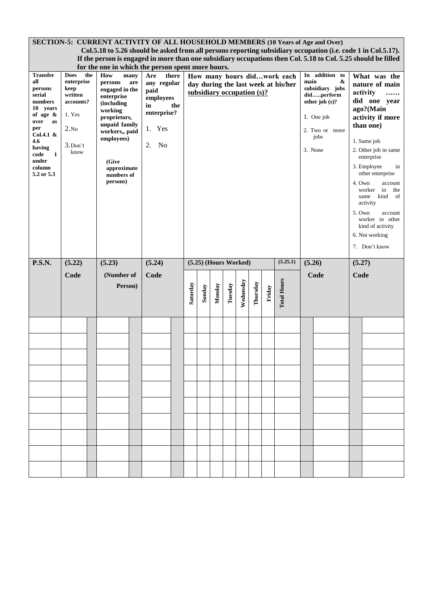|                                                                                                                                                                                    | <b>SECTION-5: CURRENT ACTIVITY OF ALL HOUSEHOLD MEMBERS (10 Years of Age and Over)</b><br>Col.5.18 to 5.26 should be asked from all persons reporting subsidiary occupation (i.e. code 1 in Col.5.17).                                      |  |                                                                                                                                                                                            |     |                                                                                    |     |          |        |                               |         |           |          |        |                                     |      |                                                                                                            |                  |                                                                                                                                                                                                                                                                                                                                                                   |
|------------------------------------------------------------------------------------------------------------------------------------------------------------------------------------|---------------------------------------------------------------------------------------------------------------------------------------------------------------------------------------------------------------------------------------------|--|--------------------------------------------------------------------------------------------------------------------------------------------------------------------------------------------|-----|------------------------------------------------------------------------------------|-----|----------|--------|-------------------------------|---------|-----------|----------|--------|-------------------------------------|------|------------------------------------------------------------------------------------------------------------|------------------|-------------------------------------------------------------------------------------------------------------------------------------------------------------------------------------------------------------------------------------------------------------------------------------------------------------------------------------------------------------------|
|                                                                                                                                                                                    | If the person is engaged in more than one subsidiary occupations then Col. 5.18 to Col. 5.25 should be filled<br>for the one in which the person spent more hours.<br>the<br>In addition to<br>How many hours didwork each<br>many<br>there |  |                                                                                                                                                                                            |     |                                                                                    |     |          |        |                               |         |           |          |        |                                     |      |                                                                                                            |                  |                                                                                                                                                                                                                                                                                                                                                                   |
|                                                                                                                                                                                    |                                                                                                                                                                                                                                             |  |                                                                                                                                                                                            |     |                                                                                    |     |          |        |                               |         |           |          |        |                                     |      |                                                                                                            |                  |                                                                                                                                                                                                                                                                                                                                                                   |
| <b>Transfer</b><br>all<br>persons<br>serial<br>numbers<br>10 years<br>of age $\&$<br>over<br>as<br>per<br>Col.4.1 &<br>4.6<br>having<br>code<br>1<br>under<br>column<br>5.2 or 5.3 | <b>Does</b><br>enterprise<br>keep<br>written<br>accounts?<br>1. Yes<br>2.No<br>$3.$ Don't<br>know                                                                                                                                           |  | How<br>persons<br>engaged in the<br>enterprise<br>(including<br>working<br>proprietors,<br>unpaid family<br>workers,, paid<br>employees)<br>(Give<br>approximate<br>numbers of<br>persons) | are | Are<br>any regular<br>paid<br>employees<br>in<br>enterprise?<br>1. Yes<br>No<br>2. | the |          |        | subsidiary occupation $(s)$ ? |         |           |          |        | day during the last week at his/her | main | &<br>subsidiary jobs<br>didperform<br>other job $(s)$ ?<br>1. One job<br>2. Two or more<br>jobs<br>3. None | 4. Own<br>5. Own | What was the<br>nature of main<br>activity<br>.<br>did one year<br>ago?(Main<br>activity if more<br>than one)<br>1. Same job<br>2. Other job in same<br>enterprise<br>3. Employee<br>in<br>other enterprise<br>account<br>worker in<br>the<br>same<br>kind<br>of<br>activity<br>account<br>worker in other<br>kind of activity<br>6. Not working<br>7. Don't know |
| <b>P.S.N.</b>                                                                                                                                                                      | (5.22)                                                                                                                                                                                                                                      |  | (5.23)                                                                                                                                                                                     |     | (5.24)                                                                             |     |          |        | (5.25) (Hours Worked)         |         |           |          |        | (5.25.1)                            |      | (5.26)                                                                                                     | (5.27)           |                                                                                                                                                                                                                                                                                                                                                                   |
|                                                                                                                                                                                    | Code                                                                                                                                                                                                                                        |  | (Number of                                                                                                                                                                                 |     | Code                                                                               |     |          |        |                               |         |           |          |        |                                     |      | Code                                                                                                       | Code             |                                                                                                                                                                                                                                                                                                                                                                   |
|                                                                                                                                                                                    |                                                                                                                                                                                                                                             |  | Person)                                                                                                                                                                                    |     |                                                                                    |     | Saturday | Sunday | Monday                        | Tuesday | Wednesday | Thursday | Friday | <b>Total Hours</b>                  |      |                                                                                                            |                  |                                                                                                                                                                                                                                                                                                                                                                   |
|                                                                                                                                                                                    |                                                                                                                                                                                                                                             |  |                                                                                                                                                                                            |     |                                                                                    |     |          |        |                               |         |           |          |        |                                     |      |                                                                                                            |                  |                                                                                                                                                                                                                                                                                                                                                                   |
|                                                                                                                                                                                    |                                                                                                                                                                                                                                             |  |                                                                                                                                                                                            |     |                                                                                    |     |          |        |                               |         |           |          |        |                                     |      |                                                                                                            |                  |                                                                                                                                                                                                                                                                                                                                                                   |
|                                                                                                                                                                                    |                                                                                                                                                                                                                                             |  |                                                                                                                                                                                            |     |                                                                                    |     |          |        |                               |         |           |          |        |                                     |      |                                                                                                            |                  |                                                                                                                                                                                                                                                                                                                                                                   |
|                                                                                                                                                                                    |                                                                                                                                                                                                                                             |  |                                                                                                                                                                                            |     |                                                                                    |     |          |        |                               |         |           |          |        |                                     |      |                                                                                                            |                  |                                                                                                                                                                                                                                                                                                                                                                   |
|                                                                                                                                                                                    |                                                                                                                                                                                                                                             |  |                                                                                                                                                                                            |     |                                                                                    |     |          |        |                               |         |           |          |        |                                     |      |                                                                                                            |                  |                                                                                                                                                                                                                                                                                                                                                                   |
|                                                                                                                                                                                    |                                                                                                                                                                                                                                             |  |                                                                                                                                                                                            |     |                                                                                    |     |          |        |                               |         |           |          |        |                                     |      |                                                                                                            |                  |                                                                                                                                                                                                                                                                                                                                                                   |
|                                                                                                                                                                                    |                                                                                                                                                                                                                                             |  |                                                                                                                                                                                            |     |                                                                                    |     |          |        |                               |         |           |          |        |                                     |      |                                                                                                            |                  |                                                                                                                                                                                                                                                                                                                                                                   |
|                                                                                                                                                                                    |                                                                                                                                                                                                                                             |  |                                                                                                                                                                                            |     |                                                                                    |     |          |        |                               |         |           |          |        |                                     |      |                                                                                                            |                  |                                                                                                                                                                                                                                                                                                                                                                   |
|                                                                                                                                                                                    |                                                                                                                                                                                                                                             |  |                                                                                                                                                                                            |     |                                                                                    |     |          |        |                               |         |           |          |        |                                     |      |                                                                                                            |                  |                                                                                                                                                                                                                                                                                                                                                                   |
|                                                                                                                                                                                    |                                                                                                                                                                                                                                             |  |                                                                                                                                                                                            |     |                                                                                    |     |          |        |                               |         |           |          |        |                                     |      |                                                                                                            |                  |                                                                                                                                                                                                                                                                                                                                                                   |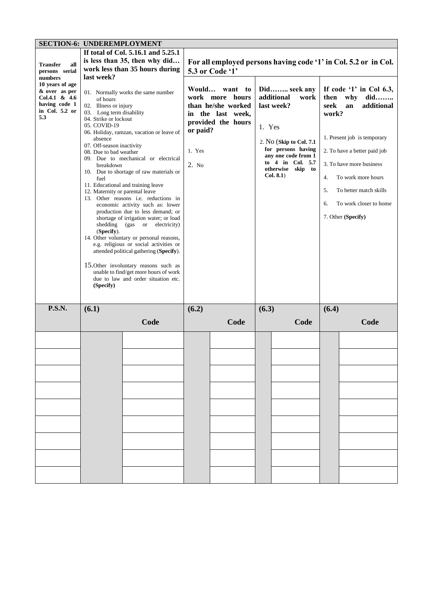| <b>SECTION-6: UNDEREMPLOYMENT</b>                                                             |                                                                                                                                                                                                                                                            |                                                                                                                                                                                                                                                                                                                                                                                                                                                                                                                                                                                                                                                    |                             |                                                                                                      |                                         |                                                                                                                                                                                                                                                         |       |                                                                 |
|-----------------------------------------------------------------------------------------------|------------------------------------------------------------------------------------------------------------------------------------------------------------------------------------------------------------------------------------------------------------|----------------------------------------------------------------------------------------------------------------------------------------------------------------------------------------------------------------------------------------------------------------------------------------------------------------------------------------------------------------------------------------------------------------------------------------------------------------------------------------------------------------------------------------------------------------------------------------------------------------------------------------------------|-----------------------------|------------------------------------------------------------------------------------------------------|-----------------------------------------|---------------------------------------------------------------------------------------------------------------------------------------------------------------------------------------------------------------------------------------------------------|-------|-----------------------------------------------------------------|
|                                                                                               |                                                                                                                                                                                                                                                            | If total of Col. 5.16.1 and 5.25.1                                                                                                                                                                                                                                                                                                                                                                                                                                                                                                                                                                                                                 |                             |                                                                                                      |                                         |                                                                                                                                                                                                                                                         |       |                                                                 |
|                                                                                               |                                                                                                                                                                                                                                                            | is less than 35, then why did                                                                                                                                                                                                                                                                                                                                                                                                                                                                                                                                                                                                                      |                             |                                                                                                      |                                         |                                                                                                                                                                                                                                                         |       | For all employed persons having code '1' in Col. 5.2 or in Col. |
| <b>Transfer</b><br>all                                                                        |                                                                                                                                                                                                                                                            | work less than 35 hours during                                                                                                                                                                                                                                                                                                                                                                                                                                                                                                                                                                                                                     |                             |                                                                                                      |                                         |                                                                                                                                                                                                                                                         |       |                                                                 |
| persons serial                                                                                | last week?                                                                                                                                                                                                                                                 |                                                                                                                                                                                                                                                                                                                                                                                                                                                                                                                                                                                                                                                    |                             | 5.3 or Code '1'                                                                                      |                                         |                                                                                                                                                                                                                                                         |       |                                                                 |
| numbers                                                                                       |                                                                                                                                                                                                                                                            |                                                                                                                                                                                                                                                                                                                                                                                                                                                                                                                                                                                                                                                    |                             |                                                                                                      |                                         |                                                                                                                                                                                                                                                         |       |                                                                 |
| 10 years of age<br>& over as per<br>Col.4.1 & $4.6$<br>having code 1<br>in Col. 5.2 or<br>5.3 | of hours<br>02. Illness or injury<br>03. Long term disability<br>04. Strike or lockout<br>05. COVID-19<br>absence<br>07. Off-season inactivity<br>08. Due to bad weather<br>breakdown<br>fuel<br>12. Maternity or parental leave<br>shedding<br>(Specify). | 01. Normally works the same number<br>06. Holiday, ramzan, vacation or leave of<br>09. Due to mechanical or electrical<br>10. Due to shortage of raw materials or<br>11. Educational and training leave<br>13. Other reasons i.e. reductions in<br>economic activity such as: lower<br>production due to less demand; or<br>shortage of irrigation water; or load<br>(gas or electricity)<br>14. Other voluntary or personal reasons,<br>e.g. religious or social activities or<br>attended political gathering (Specify).<br>15.0ther involuntary reasons such as<br>unable to find/get more hours of work<br>due to law and order situation etc. | or paid?<br>1. Yes<br>2. No | Would want<br>to<br>work more hours<br>than he/she worked<br>in the last week,<br>provided the hours | then<br>seek<br>work?<br>4.<br>5.<br>6. | If code '1' in Col $6.3$ ,<br>why<br>did<br>additional<br>an<br>1. Present job is temporary<br>2. To have a better paid job<br>3. To have more business<br>To work more hours<br>To better match skills<br>To work closer to home<br>7. Other (Specify) |       |                                                                 |
|                                                                                               | (Specify)                                                                                                                                                                                                                                                  |                                                                                                                                                                                                                                                                                                                                                                                                                                                                                                                                                                                                                                                    |                             |                                                                                                      |                                         |                                                                                                                                                                                                                                                         |       |                                                                 |
|                                                                                               |                                                                                                                                                                                                                                                            |                                                                                                                                                                                                                                                                                                                                                                                                                                                                                                                                                                                                                                                    |                             |                                                                                                      |                                         |                                                                                                                                                                                                                                                         |       |                                                                 |
|                                                                                               |                                                                                                                                                                                                                                                            |                                                                                                                                                                                                                                                                                                                                                                                                                                                                                                                                                                                                                                                    |                             |                                                                                                      |                                         |                                                                                                                                                                                                                                                         |       |                                                                 |
| <b>P.S.N.</b>                                                                                 | (6.1)                                                                                                                                                                                                                                                      |                                                                                                                                                                                                                                                                                                                                                                                                                                                                                                                                                                                                                                                    | (6.2)                       |                                                                                                      | (6.3)                                   |                                                                                                                                                                                                                                                         | (6.4) |                                                                 |
|                                                                                               |                                                                                                                                                                                                                                                            | Code                                                                                                                                                                                                                                                                                                                                                                                                                                                                                                                                                                                                                                               |                             | Code                                                                                                 |                                         | Code                                                                                                                                                                                                                                                    |       | Code                                                            |
|                                                                                               |                                                                                                                                                                                                                                                            |                                                                                                                                                                                                                                                                                                                                                                                                                                                                                                                                                                                                                                                    |                             |                                                                                                      |                                         |                                                                                                                                                                                                                                                         |       |                                                                 |
|                                                                                               |                                                                                                                                                                                                                                                            |                                                                                                                                                                                                                                                                                                                                                                                                                                                                                                                                                                                                                                                    |                             |                                                                                                      |                                         |                                                                                                                                                                                                                                                         |       |                                                                 |
|                                                                                               |                                                                                                                                                                                                                                                            |                                                                                                                                                                                                                                                                                                                                                                                                                                                                                                                                                                                                                                                    |                             |                                                                                                      |                                         |                                                                                                                                                                                                                                                         |       |                                                                 |
|                                                                                               |                                                                                                                                                                                                                                                            |                                                                                                                                                                                                                                                                                                                                                                                                                                                                                                                                                                                                                                                    |                             |                                                                                                      |                                         |                                                                                                                                                                                                                                                         |       |                                                                 |
|                                                                                               |                                                                                                                                                                                                                                                            |                                                                                                                                                                                                                                                                                                                                                                                                                                                                                                                                                                                                                                                    |                             |                                                                                                      |                                         |                                                                                                                                                                                                                                                         |       |                                                                 |
|                                                                                               |                                                                                                                                                                                                                                                            |                                                                                                                                                                                                                                                                                                                                                                                                                                                                                                                                                                                                                                                    |                             |                                                                                                      |                                         |                                                                                                                                                                                                                                                         |       |                                                                 |
|                                                                                               |                                                                                                                                                                                                                                                            |                                                                                                                                                                                                                                                                                                                                                                                                                                                                                                                                                                                                                                                    |                             |                                                                                                      |                                         |                                                                                                                                                                                                                                                         |       |                                                                 |
|                                                                                               |                                                                                                                                                                                                                                                            |                                                                                                                                                                                                                                                                                                                                                                                                                                                                                                                                                                                                                                                    |                             |                                                                                                      |                                         |                                                                                                                                                                                                                                                         |       |                                                                 |
|                                                                                               |                                                                                                                                                                                                                                                            |                                                                                                                                                                                                                                                                                                                                                                                                                                                                                                                                                                                                                                                    |                             |                                                                                                      |                                         |                                                                                                                                                                                                                                                         |       |                                                                 |
|                                                                                               |                                                                                                                                                                                                                                                            |                                                                                                                                                                                                                                                                                                                                                                                                                                                                                                                                                                                                                                                    |                             |                                                                                                      |                                         |                                                                                                                                                                                                                                                         |       |                                                                 |
|                                                                                               |                                                                                                                                                                                                                                                            |                                                                                                                                                                                                                                                                                                                                                                                                                                                                                                                                                                                                                                                    |                             |                                                                                                      |                                         |                                                                                                                                                                                                                                                         |       |                                                                 |
|                                                                                               |                                                                                                                                                                                                                                                            |                                                                                                                                                                                                                                                                                                                                                                                                                                                                                                                                                                                                                                                    |                             |                                                                                                      |                                         |                                                                                                                                                                                                                                                         |       |                                                                 |
|                                                                                               |                                                                                                                                                                                                                                                            |                                                                                                                                                                                                                                                                                                                                                                                                                                                                                                                                                                                                                                                    |                             |                                                                                                      |                                         |                                                                                                                                                                                                                                                         |       |                                                                 |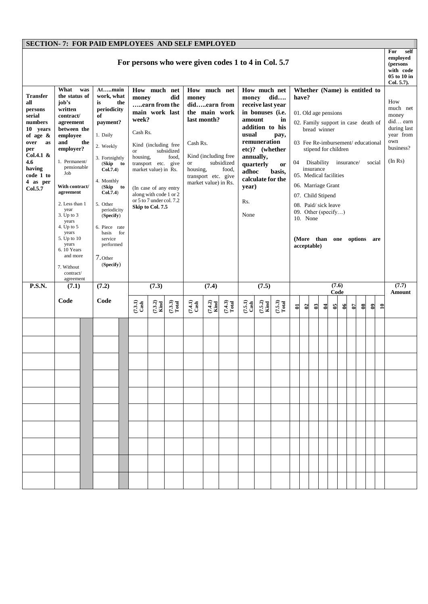## **SECTION- 7: FOR PAID EMPLOYEES AND SELF EMPLOYED**

| <b>Transfer</b><br>all<br>persons<br>serial<br>numbers<br>10 vears<br>of age $\&$<br>over<br>as<br>per<br>Col.4.1 $\&$<br>4.6<br>having<br>code 1 to<br>4 as per<br>Col.5.7 | What<br>was<br>the status of<br>job's<br>written<br>contract/<br>agreement<br>between the<br>employee<br>and<br>the<br>employer?<br>1. Permanent/<br>pensionable<br>Job<br>With contract/<br>agreement<br>2. Less than 1<br>year<br>3. Up to 3<br>years<br>4. Up to $5$<br>years<br>5. Up to 10<br>years<br>6.10 Years<br>and more<br>7. Without<br>contract/ | For persons who were given codes 1 to 4 in Col. 5.7<br>Atmain<br>How much net<br>How much net<br>How much net<br>Whether (Name) is entitled to<br>work, what<br>money<br>did<br>did<br>have?<br>money<br>money<br>the<br>is<br>earn from the<br>didearn from<br>receive last year<br>periodicity<br>the main work<br>main work last<br>in bonuses (i.e.<br>01. Old age pensions<br>of<br>week?<br>last month?<br>amount<br>in<br>payment?<br>02. Family support in case death of<br>addition to his<br>bread winner<br>Cash Rs.<br>usual<br>1. Daily<br>pay,<br>remuneration<br>03 Fee Re-imbursement/ educational<br>Cash Rs.<br>Kind (including free<br>2. Weekly<br>etc)? (whether<br>stipend for children<br>subsidized<br><b>or</b><br>Kind (including free<br>annually,<br>food,<br>housing,<br>3. Fortnightly<br>Disability<br>04<br>insurance/<br>subsidized<br>transport etc. give<br><b>or</b><br>(Skip to<br>quarterly<br><b>or</b><br>insurance<br>Col.7.4)<br>market value) in Rs.<br>housing,<br>food,<br>adhoc<br>basis,<br>05. Medical facilities<br>transport etc. give<br>calculate for the<br>4. Monthly<br>market value) in Rs.<br>06. Marriage Grant<br>(Skip to<br>year)<br>(In case of any entry<br>Col.7.4)<br>along with code 1 or 2<br>07. Child Stipend<br>or 5 to 7 under col. 7.2<br>Rs.<br>5. Other<br>08. Paid/sick leave<br>Skip to Col. 7.5<br>periodicity<br>09. Other (specify)<br>None<br>(Specify)<br>10. None<br>6. Piece rate<br>for<br>basis<br>service<br>(More than one options<br>performed<br>acceptable)<br>7. Other<br>(Specify) |                   |                                         |                   |                                         |                   |                                      | social | are                                  | self<br>For<br>employed<br>(persons<br>with code<br>05 to 10 in<br>Col. 5.7.<br>How<br>much net<br>money<br>did earn<br>during last<br>year from<br>own<br>business?<br>(In Rs) |            |   |                            |                  |    |              |        |
|-----------------------------------------------------------------------------------------------------------------------------------------------------------------------------|---------------------------------------------------------------------------------------------------------------------------------------------------------------------------------------------------------------------------------------------------------------------------------------------------------------------------------------------------------------|--------------------------------------------------------------------------------------------------------------------------------------------------------------------------------------------------------------------------------------------------------------------------------------------------------------------------------------------------------------------------------------------------------------------------------------------------------------------------------------------------------------------------------------------------------------------------------------------------------------------------------------------------------------------------------------------------------------------------------------------------------------------------------------------------------------------------------------------------------------------------------------------------------------------------------------------------------------------------------------------------------------------------------------------------------------------------------------------------------------------------------------------------------------------------------------------------------------------------------------------------------------------------------------------------------------------------------------------------------------------------------------------------------------------------------------------------------------------------------------------------------------------------------------------------------------------------------|-------------------|-----------------------------------------|-------------------|-----------------------------------------|-------------------|--------------------------------------|--------|--------------------------------------|---------------------------------------------------------------------------------------------------------------------------------------------------------------------------------|------------|---|----------------------------|------------------|----|--------------|--------|
| P.S.N.                                                                                                                                                                      | agreement<br>(7.1)                                                                                                                                                                                                                                                                                                                                            | (7.2)                                                                                                                                                                                                                                                                                                                                                                                                                                                                                                                                                                                                                                                                                                                                                                                                                                                                                                                                                                                                                                                                                                                                                                                                                                                                                                                                                                                                                                                                                                                                                                          |                   | (7.3)<br>(7.4)                          |                   |                                         |                   | (7.5)                                |        |                                      |                                                                                                                                                                                 | (7.6)      |   |                            |                  |    |              | (7.7)  |
|                                                                                                                                                                             | Code                                                                                                                                                                                                                                                                                                                                                          | Code                                                                                                                                                                                                                                                                                                                                                                                                                                                                                                                                                                                                                                                                                                                                                                                                                                                                                                                                                                                                                                                                                                                                                                                                                                                                                                                                                                                                                                                                                                                                                                           | $(7.3.1)$<br>Cash | $(7.3.3)$<br>Total<br>$(7.3.2)$<br>Kind | $(7.4.1)$<br>Cash | $(7.4.2)$<br>Kind<br>$(7.4.3)$<br>Total | $(7.5.1)$<br>Cash | $(7.5.3)$<br>Total<br>$(7.5.2)$ Kind | $\Xi$  | $\boldsymbol{c}$<br>$\boldsymbol{c}$ | $\boldsymbol{\Xi}$                                                                                                                                                              | Code<br>95 | క | $\boldsymbol{\mathcal{E}}$ | $\boldsymbol{8}$ | ತಿ | $\mathbf{a}$ | Amount |
|                                                                                                                                                                             |                                                                                                                                                                                                                                                                                                                                                               |                                                                                                                                                                                                                                                                                                                                                                                                                                                                                                                                                                                                                                                                                                                                                                                                                                                                                                                                                                                                                                                                                                                                                                                                                                                                                                                                                                                                                                                                                                                                                                                |                   |                                         |                   |                                         |                   |                                      |        |                                      |                                                                                                                                                                                 |            |   |                            |                  |    |              |        |
|                                                                                                                                                                             |                                                                                                                                                                                                                                                                                                                                                               |                                                                                                                                                                                                                                                                                                                                                                                                                                                                                                                                                                                                                                                                                                                                                                                                                                                                                                                                                                                                                                                                                                                                                                                                                                                                                                                                                                                                                                                                                                                                                                                |                   |                                         |                   |                                         |                   |                                      |        |                                      |                                                                                                                                                                                 |            |   |                            |                  |    |              |        |
|                                                                                                                                                                             |                                                                                                                                                                                                                                                                                                                                                               |                                                                                                                                                                                                                                                                                                                                                                                                                                                                                                                                                                                                                                                                                                                                                                                                                                                                                                                                                                                                                                                                                                                                                                                                                                                                                                                                                                                                                                                                                                                                                                                |                   |                                         |                   |                                         |                   |                                      |        |                                      |                                                                                                                                                                                 |            |   |                            |                  |    |              |        |
|                                                                                                                                                                             |                                                                                                                                                                                                                                                                                                                                                               |                                                                                                                                                                                                                                                                                                                                                                                                                                                                                                                                                                                                                                                                                                                                                                                                                                                                                                                                                                                                                                                                                                                                                                                                                                                                                                                                                                                                                                                                                                                                                                                |                   |                                         |                   |                                         |                   |                                      |        |                                      |                                                                                                                                                                                 |            |   |                            |                  |    |              |        |
|                                                                                                                                                                             |                                                                                                                                                                                                                                                                                                                                                               |                                                                                                                                                                                                                                                                                                                                                                                                                                                                                                                                                                                                                                                                                                                                                                                                                                                                                                                                                                                                                                                                                                                                                                                                                                                                                                                                                                                                                                                                                                                                                                                |                   |                                         |                   |                                         |                   |                                      |        |                                      |                                                                                                                                                                                 |            |   |                            |                  |    |              |        |
|                                                                                                                                                                             |                                                                                                                                                                                                                                                                                                                                                               |                                                                                                                                                                                                                                                                                                                                                                                                                                                                                                                                                                                                                                                                                                                                                                                                                                                                                                                                                                                                                                                                                                                                                                                                                                                                                                                                                                                                                                                                                                                                                                                |                   |                                         |                   |                                         |                   |                                      |        |                                      |                                                                                                                                                                                 |            |   |                            |                  |    |              |        |
|                                                                                                                                                                             |                                                                                                                                                                                                                                                                                                                                                               |                                                                                                                                                                                                                                                                                                                                                                                                                                                                                                                                                                                                                                                                                                                                                                                                                                                                                                                                                                                                                                                                                                                                                                                                                                                                                                                                                                                                                                                                                                                                                                                |                   |                                         |                   |                                         |                   |                                      |        |                                      |                                                                                                                                                                                 |            |   |                            |                  |    |              |        |
|                                                                                                                                                                             |                                                                                                                                                                                                                                                                                                                                                               |                                                                                                                                                                                                                                                                                                                                                                                                                                                                                                                                                                                                                                                                                                                                                                                                                                                                                                                                                                                                                                                                                                                                                                                                                                                                                                                                                                                                                                                                                                                                                                                |                   |                                         |                   |                                         |                   |                                      |        |                                      |                                                                                                                                                                                 |            |   |                            |                  |    |              |        |
|                                                                                                                                                                             |                                                                                                                                                                                                                                                                                                                                                               |                                                                                                                                                                                                                                                                                                                                                                                                                                                                                                                                                                                                                                                                                                                                                                                                                                                                                                                                                                                                                                                                                                                                                                                                                                                                                                                                                                                                                                                                                                                                                                                |                   |                                         |                   |                                         |                   |                                      |        |                                      |                                                                                                                                                                                 |            |   |                            |                  |    |              |        |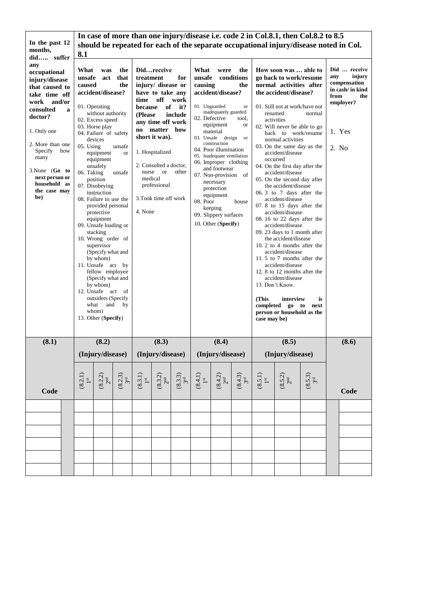|                                    | In case of more than one injury/disease i.e. code 2 in Col.8.1, then Col.8.2 to 8.5   |                                                                                           |                                           |                              |                                 |                              |                                                     |                                      |                                               |                                                      |                                           |                  |                               |                  |  |  |  |
|------------------------------------|---------------------------------------------------------------------------------------|-------------------------------------------------------------------------------------------|-------------------------------------------|------------------------------|---------------------------------|------------------------------|-----------------------------------------------------|--------------------------------------|-----------------------------------------------|------------------------------------------------------|-------------------------------------------|------------------|-------------------------------|------------------|--|--|--|
| In the past 12                     | should be repeated for each of the separate occupational injury/disease noted in Col. |                                                                                           |                                           |                              |                                 |                              |                                                     |                                      |                                               |                                                      |                                           |                  |                               |                  |  |  |  |
| months.<br>did suffer              | 8.1                                                                                   |                                                                                           |                                           |                              |                                 |                              |                                                     |                                      |                                               |                                                      |                                           |                  |                               |                  |  |  |  |
| any                                |                                                                                       |                                                                                           |                                           |                              |                                 |                              |                                                     |                                      |                                               |                                                      |                                           |                  |                               |                  |  |  |  |
| occupational                       | What                                                                                  | was                                                                                       | the                                       |                              | Didreceive                      |                              | What                                                | were                                 | the                                           | How soon was  able to                                | Did  receive                              |                  |                               |                  |  |  |  |
| injury/disease                     | unsafe                                                                                | act                                                                                       | that                                      | treatment                    |                                 | for                          | unsafe                                              |                                      | conditions                                    | go back to work/resume                               |                                           |                  | injury<br>any<br>compensation |                  |  |  |  |
| that caused to                     | caused                                                                                |                                                                                           | the                                       |                              | injury/ disease or              |                              | causing<br>the                                      |                                      |                                               | normal activities after                              |                                           |                  |                               | in cash/ in kind |  |  |  |
| take time off                      |                                                                                       | accident/disease?                                                                         |                                           |                              | have to take any                |                              | accident/disease?                                   |                                      |                                               | the accident/disease?                                |                                           |                  |                               | from<br>the      |  |  |  |
| work and/or                        | off<br>time<br>work                                                                   |                                                                                           |                                           |                              |                                 |                              |                                                     |                                      |                                               |                                                      |                                           | employer?        |                               |                  |  |  |  |
| consulted<br>a                     |                                                                                       | 01. Operating                                                                             | of<br>it?<br>because<br>without authority |                              |                                 |                              | 01. Unguarded                                       | inadequately guarded                 | <b>or</b>                                     |                                                      | 01. Still not at work/have not<br>resumed |                  |                               |                  |  |  |  |
| doctor?                            |                                                                                       | 02. Excess speed                                                                          |                                           | (Please)<br>include          |                                 |                              | 02. Defective                                       |                                      | tool,                                         |                                                      | activities                                | normal           |                               |                  |  |  |  |
|                                    | any time off work<br>03. Horse play                                                   |                                                                                           |                                           |                              |                                 |                              | equipment                                           | or                                   |                                               | 02. Will never be able to go                         |                                           |                  |                               |                  |  |  |  |
| 1. Only one                        |                                                                                       | no matter how<br>04. Failure of safety<br>short it was).<br>devices                       |                                           |                              |                                 |                              |                                                     | material<br>03. Unsafe design or     |                                               | back to work/resume<br>normal activities             |                                           |                  |                               | 1. Yes           |  |  |  |
| 2. More than one<br>Specify<br>how | 05. Using                                                                             |                                                                                           | unsafe                                    |                              |                                 |                              |                                                     | construction                         |                                               |                                                      | 03. On the same day as the                |                  | 2. No                         |                  |  |  |  |
| many                               |                                                                                       | equipment                                                                                 | <b>or</b>                                 | 1. Hospitalized              |                                 |                              | 04. Poor illumination<br>05. Inadequate ventilation |                                      |                                               | accident/disease                                     |                                           |                  |                               |                  |  |  |  |
|                                    |                                                                                       | equipment<br>unsafely                                                                     |                                           |                              | 2. Consulted a doctor,          |                              | 06. Improper clothing                               |                                      |                                               | occurred<br>04. On the first day after the           |                                           |                  |                               |                  |  |  |  |
| $3.$ None $(Go$ to                 | 06. Taking                                                                            |                                                                                           | unsafe                                    |                              | <sub>or</sub><br>other<br>nurse |                              |                                                     | and footwear<br>07. Non-provision of |                                               |                                                      | accident/disease                          |                  |                               |                  |  |  |  |
| next person or                     |                                                                                       | position                                                                                  |                                           | medical                      |                                 |                              |                                                     |                                      |                                               | 05. On the second day after                          |                                           |                  |                               |                  |  |  |  |
| household as<br>the case may       |                                                                                       | 07. Disobeying                                                                            |                                           |                              |                                 |                              |                                                     | professional                         |                                               | necessary<br>protection                              |                                           |                  | the accident/disease          |                  |  |  |  |
| be)                                |                                                                                       | instruction                                                                               |                                           | equipment                    |                                 |                              |                                                     |                                      |                                               |                                                      | 06.3 to 7 days after the                  |                  |                               |                  |  |  |  |
|                                    |                                                                                       | 3. Took time off work<br>08. Failure to use the<br>08. Poor<br>house<br>provided personal |                                           |                              |                                 |                              |                                                     |                                      | accident/disease<br>07.8 to 15 days after the |                                                      |                                           |                  |                               |                  |  |  |  |
|                                    |                                                                                       | keeping<br>4. None<br>protective                                                          |                                           |                              |                                 |                              |                                                     |                                      |                                               | accident/disease                                     |                                           |                  |                               |                  |  |  |  |
|                                    |                                                                                       | equipment                                                                                 |                                           |                              |                                 |                              | 09. Slippery surfaces                               |                                      |                                               | 08.16 to 22 days after the                           |                                           |                  |                               |                  |  |  |  |
|                                    |                                                                                       | 09. Unsafe loading or                                                                     |                                           |                              |                                 |                              | 10. Other (Specify)                                 |                                      |                                               | accident/disease                                     |                                           |                  |                               |                  |  |  |  |
|                                    | stacking                                                                              |                                                                                           |                                           |                              |                                 |                              |                                                     |                                      |                                               | 09. 23 days to 1 month after<br>the accident/disease |                                           |                  |                               |                  |  |  |  |
| 10. Wrong order of<br>supervisor   |                                                                                       |                                                                                           |                                           |                              |                                 |                              |                                                     |                                      | 10, 2 to 4 months after the                   |                                                      |                                           |                  |                               |                  |  |  |  |
| (Specify what and                  |                                                                                       |                                                                                           |                                           |                              |                                 |                              |                                                     |                                      | accident/disease                              |                                                      |                                           |                  |                               |                  |  |  |  |
|                                    | by whom)                                                                              |                                                                                           |                                           |                              |                                 |                              |                                                     |                                      |                                               | 11.5 to 7 months after the                           |                                           |                  |                               |                  |  |  |  |
|                                    |                                                                                       | 11. Unsafe act by                                                                         |                                           |                              |                                 |                              |                                                     |                                      |                                               | accident/disease                                     |                                           |                  |                               |                  |  |  |  |
|                                    |                                                                                       | fellow employee                                                                           |                                           |                              |                                 |                              |                                                     |                                      |                                               | 12. 8 to 12 months after the<br>accident/disease     |                                           |                  |                               |                  |  |  |  |
|                                    |                                                                                       | (Specify what and<br>by whom)                                                             |                                           |                              |                                 |                              |                                                     |                                      |                                               | 13. Don't Know.                                      |                                           |                  |                               |                  |  |  |  |
|                                    |                                                                                       | 12. Unsafe act of                                                                         |                                           |                              |                                 |                              |                                                     |                                      |                                               |                                                      |                                           |                  |                               |                  |  |  |  |
|                                    |                                                                                       | outsiders (Specify                                                                        |                                           |                              |                                 |                              |                                                     |                                      |                                               | (This                                                | interview                                 | is               |                               |                  |  |  |  |
|                                    |                                                                                       | what<br>and                                                                               | by                                        |                              |                                 |                              |                                                     |                                      |                                               | completed go to<br>next                              |                                           |                  |                               |                  |  |  |  |
|                                    |                                                                                       | whom)                                                                                     |                                           |                              |                                 |                              |                                                     |                                      |                                               | person or household as the                           |                                           |                  |                               |                  |  |  |  |
|                                    |                                                                                       | 13. Other (Specify)                                                                       |                                           |                              |                                 |                              |                                                     |                                      |                                               | case may be)                                         |                                           |                  |                               |                  |  |  |  |
|                                    |                                                                                       |                                                                                           |                                           |                              |                                 |                              |                                                     |                                      |                                               |                                                      |                                           |                  |                               |                  |  |  |  |
| (8.1)                              |                                                                                       | (8.2)                                                                                     |                                           |                              | (8.3)                           |                              |                                                     | (8.4)                                |                                               |                                                      | (8.5)                                     |                  |                               | (8.6)            |  |  |  |
|                                    |                                                                                       | (Injury/disease)                                                                          |                                           |                              | (Injury/disease)                |                              |                                                     | (Injury/disease)                     | $\sim$                                        |                                                      | (Injury/disease)                          |                  |                               |                  |  |  |  |
|                                    |                                                                                       |                                                                                           |                                           |                              |                                 |                              |                                                     |                                      |                                               |                                                      |                                           |                  |                               |                  |  |  |  |
|                                    |                                                                                       |                                                                                           |                                           |                              |                                 |                              |                                                     |                                      |                                               |                                                      |                                           |                  |                               |                  |  |  |  |
|                                    | $(8.2.1)$<br>1st                                                                      | (8.2.2)                                                                                   | $(8.2.3)$<br>3rd                          | $\stackrel{(8.3.1)}{1^{st}}$ | $\frac{(8.3.2)}{2^{nd}}$        | $(8.3.3)$<br>$3^{\text{rd}}$ | (8.4.1)                                             | (8.4.2)                              | $(8.4.3)$<br>3 <sup>rd</sup>                  | (8.5.1)                                              | $(8.5.2)$<br>$2nd$                        | $(8.5.3)$<br>3rd |                               |                  |  |  |  |
| Code                               |                                                                                       |                                                                                           |                                           |                              |                                 |                              |                                                     |                                      |                                               |                                                      |                                           |                  |                               | Code             |  |  |  |
|                                    |                                                                                       |                                                                                           |                                           |                              |                                 |                              |                                                     |                                      |                                               |                                                      |                                           |                  |                               |                  |  |  |  |
|                                    |                                                                                       |                                                                                           |                                           |                              |                                 |                              |                                                     |                                      |                                               |                                                      |                                           |                  |                               |                  |  |  |  |
|                                    |                                                                                       |                                                                                           |                                           |                              |                                 |                              |                                                     |                                      |                                               |                                                      |                                           |                  |                               |                  |  |  |  |
|                                    |                                                                                       |                                                                                           |                                           |                              |                                 |                              |                                                     |                                      |                                               |                                                      |                                           |                  |                               |                  |  |  |  |
|                                    |                                                                                       |                                                                                           |                                           |                              |                                 |                              |                                                     |                                      |                                               |                                                      |                                           |                  |                               |                  |  |  |  |
|                                    |                                                                                       |                                                                                           |                                           |                              |                                 |                              |                                                     |                                      |                                               |                                                      |                                           |                  |                               |                  |  |  |  |
|                                    |                                                                                       |                                                                                           |                                           |                              |                                 |                              |                                                     |                                      |                                               |                                                      |                                           |                  |                               |                  |  |  |  |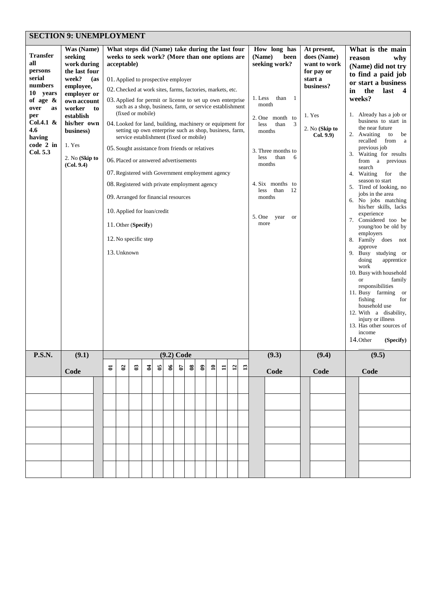| <b>SECTION 9: UNEMPLOYMENT</b> |
|--------------------------------|
|                                |

| <b>Transfer</b><br>all<br>persons<br>serial<br>numbers<br>10<br>years<br>of age $\&$<br>over<br>as<br>per<br>Col.4.1 $\&$<br>4.6<br>having<br>code 2 in<br>Col. 5.3 | Was (Name)<br>seeking<br>work during<br>the last four<br>week?<br>(as<br>employee,<br>employer or<br>own account<br>worker<br>establish<br>his/her own<br>business)<br>1. Yes<br>2. No (Skip to<br>(Col. 9.4) | to             | acceptable)<br>10. Applied for loan/credit<br>11. Other (Specify)<br>12. No specific step<br>13. Unknown |                  | (fixed or mobile) | What steps did (Name) take during the last four<br>weeks to seek work? (More than one options are<br>01. Applied to prospective employer<br>02. Checked at work sites, farms, factories, markets, etc.<br>03. Applied for permit or license to set up own enterprise<br>such as a shop, business, farm, or service establishment<br>04. Looked for land, building, machinery or equipment for<br>setting up own enterprise such as shop, business, farm,<br>service establishment (fixed or mobile)<br>05. Sought assistance from friends or relatives<br>06. Placed or answered advertisements<br>07. Registered with Government employment agency<br>08. Registered with private employment agency<br>09. Arranged for financial resources<br>$(9.2)$ Code<br>$\boldsymbol{\delta}$<br>$\mathbf{8}$<br>$\mathbf{a}$<br>$\mathfrak{g}$<br>$\mathbf{S}$<br>$\overline{12}$<br>13<br>$\mathbf{1}$ |  |  |  |  |  |  |  | How long has<br>(Name)<br>been<br>seeking work?<br>1. Less<br>than<br>-1<br>month<br>2. One month to<br>than<br>3<br>less<br>months<br>3. Three months to<br>than<br>6<br>less<br>months<br>4. Six months to<br><i>less</i><br>than<br>12<br>months<br>5. One<br>year<br><sub>or</sub><br>more | At present,<br>does (Name)<br>want to work<br>for pay or<br>start a<br>business?<br>1. Yes<br>2. No (Skip to<br>Col. 9.9) | What is the main<br>reason<br>in<br>14. Other | (Name) did not try<br>to find a paid job<br>or start a business<br>the<br>last<br>$\overline{\mathbf{4}}$<br>weeks?<br>1. Already has a job or<br>business to start in<br>the near future<br>2. Awaiting<br>to<br>be<br>recalled<br>from a<br>previous job<br>3. Waiting for results<br>from a previous<br>search<br>4. Waiting<br>for<br>the<br>season to start<br>5. Tired of looking, no<br>jobs in the area<br>6. No jobs matching<br>his/her skills, lacks<br>experience<br>7. Considered too be<br>young/too be old by<br>employers<br>8. Family does not<br>approve<br>9. Busy studying or<br>doing<br>apprentice<br>work<br>10. Busy with household<br>family<br><b>or</b><br>responsibilities<br>11. Busy farming<br><sub>or</sub><br>fishing<br>for<br>household use<br>12. With a disability,<br>injury or illness<br>13. Has other sources of<br>income<br>(Specify) |  |  |  |  |  |
|---------------------------------------------------------------------------------------------------------------------------------------------------------------------|---------------------------------------------------------------------------------------------------------------------------------------------------------------------------------------------------------------|----------------|----------------------------------------------------------------------------------------------------------|------------------|-------------------|--------------------------------------------------------------------------------------------------------------------------------------------------------------------------------------------------------------------------------------------------------------------------------------------------------------------------------------------------------------------------------------------------------------------------------------------------------------------------------------------------------------------------------------------------------------------------------------------------------------------------------------------------------------------------------------------------------------------------------------------------------------------------------------------------------------------------------------------------------------------------------------------------|--|--|--|--|--|--|--|------------------------------------------------------------------------------------------------------------------------------------------------------------------------------------------------------------------------------------------------------------------------------------------------|---------------------------------------------------------------------------------------------------------------------------|-----------------------------------------------|----------------------------------------------------------------------------------------------------------------------------------------------------------------------------------------------------------------------------------------------------------------------------------------------------------------------------------------------------------------------------------------------------------------------------------------------------------------------------------------------------------------------------------------------------------------------------------------------------------------------------------------------------------------------------------------------------------------------------------------------------------------------------------------------------------------------------------------------------------------------------------|--|--|--|--|--|
| P.S.N.                                                                                                                                                              | (9.1)                                                                                                                                                                                                         |                |                                                                                                          |                  |                   |                                                                                                                                                                                                                                                                                                                                                                                                                                                                                                                                                                                                                                                                                                                                                                                                                                                                                                  |  |  |  |  |  |  |  | (9.3)                                                                                                                                                                                                                                                                                          | (9.4)                                                                                                                     |                                               | (9.5)                                                                                                                                                                                                                                                                                                                                                                                                                                                                                                                                                                                                                                                                                                                                                                                                                                                                            |  |  |  |  |  |
|                                                                                                                                                                     | Code                                                                                                                                                                                                          | $\overline{5}$ | $\boldsymbol{c}$                                                                                         | $\boldsymbol{c}$ | $\mathfrak{p}$    | $\mathbf{5}$                                                                                                                                                                                                                                                                                                                                                                                                                                                                                                                                                                                                                                                                                                                                                                                                                                                                                     |  |  |  |  |  |  |  | Code                                                                                                                                                                                                                                                                                           | Code                                                                                                                      |                                               | Code                                                                                                                                                                                                                                                                                                                                                                                                                                                                                                                                                                                                                                                                                                                                                                                                                                                                             |  |  |  |  |  |
|                                                                                                                                                                     |                                                                                                                                                                                                               |                |                                                                                                          |                  |                   |                                                                                                                                                                                                                                                                                                                                                                                                                                                                                                                                                                                                                                                                                                                                                                                                                                                                                                  |  |  |  |  |  |  |  |                                                                                                                                                                                                                                                                                                |                                                                                                                           |                                               |                                                                                                                                                                                                                                                                                                                                                                                                                                                                                                                                                                                                                                                                                                                                                                                                                                                                                  |  |  |  |  |  |
|                                                                                                                                                                     |                                                                                                                                                                                                               |                |                                                                                                          |                  |                   |                                                                                                                                                                                                                                                                                                                                                                                                                                                                                                                                                                                                                                                                                                                                                                                                                                                                                                  |  |  |  |  |  |  |  |                                                                                                                                                                                                                                                                                                |                                                                                                                           |                                               |                                                                                                                                                                                                                                                                                                                                                                                                                                                                                                                                                                                                                                                                                                                                                                                                                                                                                  |  |  |  |  |  |
|                                                                                                                                                                     |                                                                                                                                                                                                               |                |                                                                                                          |                  |                   |                                                                                                                                                                                                                                                                                                                                                                                                                                                                                                                                                                                                                                                                                                                                                                                                                                                                                                  |  |  |  |  |  |  |  |                                                                                                                                                                                                                                                                                                |                                                                                                                           |                                               |                                                                                                                                                                                                                                                                                                                                                                                                                                                                                                                                                                                                                                                                                                                                                                                                                                                                                  |  |  |  |  |  |
|                                                                                                                                                                     |                                                                                                                                                                                                               |                |                                                                                                          |                  |                   |                                                                                                                                                                                                                                                                                                                                                                                                                                                                                                                                                                                                                                                                                                                                                                                                                                                                                                  |  |  |  |  |  |  |  |                                                                                                                                                                                                                                                                                                |                                                                                                                           |                                               |                                                                                                                                                                                                                                                                                                                                                                                                                                                                                                                                                                                                                                                                                                                                                                                                                                                                                  |  |  |  |  |  |
|                                                                                                                                                                     |                                                                                                                                                                                                               |                |                                                                                                          |                  |                   |                                                                                                                                                                                                                                                                                                                                                                                                                                                                                                                                                                                                                                                                                                                                                                                                                                                                                                  |  |  |  |  |  |  |  |                                                                                                                                                                                                                                                                                                |                                                                                                                           |                                               |                                                                                                                                                                                                                                                                                                                                                                                                                                                                                                                                                                                                                                                                                                                                                                                                                                                                                  |  |  |  |  |  |
|                                                                                                                                                                     |                                                                                                                                                                                                               |                |                                                                                                          |                  |                   |                                                                                                                                                                                                                                                                                                                                                                                                                                                                                                                                                                                                                                                                                                                                                                                                                                                                                                  |  |  |  |  |  |  |  |                                                                                                                                                                                                                                                                                                |                                                                                                                           |                                               |                                                                                                                                                                                                                                                                                                                                                                                                                                                                                                                                                                                                                                                                                                                                                                                                                                                                                  |  |  |  |  |  |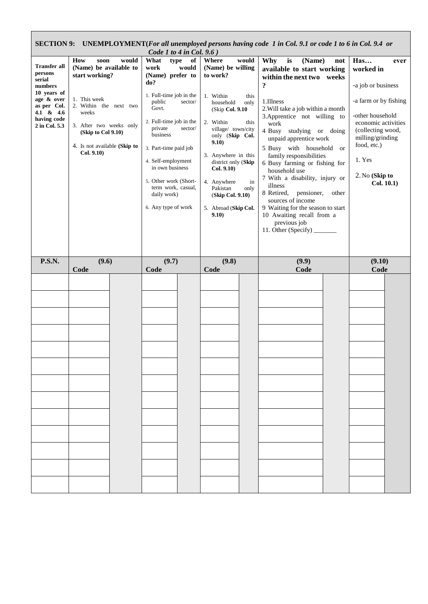| Code 1 to 4 in Col. $9.6$ )                                                                                                                  |                                                                                                                                                                                                                   |                                                                                                                                                                                                                                                                                                                                             |                                                                                                                                                                                                                                                                                                                                                |                                                                                                                                                                                                                                                                                                                                                                                                                                                                                                                                                                     |                                                                                                                                                                                                                      |  |  |  |  |  |  |
|----------------------------------------------------------------------------------------------------------------------------------------------|-------------------------------------------------------------------------------------------------------------------------------------------------------------------------------------------------------------------|---------------------------------------------------------------------------------------------------------------------------------------------------------------------------------------------------------------------------------------------------------------------------------------------------------------------------------------------|------------------------------------------------------------------------------------------------------------------------------------------------------------------------------------------------------------------------------------------------------------------------------------------------------------------------------------------------|---------------------------------------------------------------------------------------------------------------------------------------------------------------------------------------------------------------------------------------------------------------------------------------------------------------------------------------------------------------------------------------------------------------------------------------------------------------------------------------------------------------------------------------------------------------------|----------------------------------------------------------------------------------------------------------------------------------------------------------------------------------------------------------------------|--|--|--|--|--|--|
| <b>Transfer all</b><br>persons<br>serial<br>numbers<br>10 years of<br>age & over<br>as per Col.<br>4.1 & 4.6<br>having code<br>2 in Col. 5.3 | How<br>would<br>soon<br>(Name) be available to<br>start working?<br>1. This week<br>2. Within the next two<br>weeks<br>3. After two weeks only<br>(Skip to Col 9.10)<br>4. Is not available (Skip to<br>Col. 9.10 | type<br>What<br>of<br>work<br>would<br>(Name) prefer to<br>do?<br>1. Full-time job in the<br>public<br>sector/<br>Govt.<br>2. Full-time job in the<br>private<br>sector/<br>business<br>3. Part-time paid job<br>4. Self-employment<br>in own business<br>5. Other work (Short-<br>term work, casual,<br>daily work)<br>6. Any type of work | Where<br>would<br>(Name) be willing<br>to work?<br>1. Within<br>this<br>household<br>only<br>(Skip Col. 9.10)<br>2. Within<br>this<br>village/ town/city<br>only (Skip Col.<br>9.10)<br>3. Anywhere in this<br>district only (Skip<br>Col. 9.10)<br>4. Anywhere<br>in<br>Pakistan<br>only<br>(Skip Col. 9.10)<br>5. Abroad (Skip Col.<br>9.10) | Why<br>(Name)<br>is<br>not<br>available to start working<br>within the next two weeks<br>?<br>1.Illness<br>2. Will take a job within a month<br>3. Apprentice not willing to<br>work<br>4 Busy studying or doing<br>unpaid apprentice work<br>5 Busy with household<br>or<br>family responsibilities<br>6 Busy farming or fishing for<br>household use<br>7 With a disability, injury or<br>illness<br>8 Retired, pensioner,<br>other<br>sources of income<br>9 Waiting for the season to start<br>10 Awaiting recall from a<br>previous job<br>11. Other (Specify) | Has<br>ever<br>worked in<br>-a job or business<br>-a farm or by fishing<br>-other household<br>economic activities<br>(collecting wood,<br>milling/grinding<br>food, etc.)<br>1. Yes<br>2. No (Skip to<br>Col. 10.1) |  |  |  |  |  |  |
| <b>P.S.N.</b>                                                                                                                                | (9.6)<br>Code                                                                                                                                                                                                     | (9.7)<br>Code                                                                                                                                                                                                                                                                                                                               | (9.8)<br>Code                                                                                                                                                                                                                                                                                                                                  | (9.9)<br>Code                                                                                                                                                                                                                                                                                                                                                                                                                                                                                                                                                       | (9.10)<br>Code                                                                                                                                                                                                       |  |  |  |  |  |  |
|                                                                                                                                              |                                                                                                                                                                                                                   |                                                                                                                                                                                                                                                                                                                                             |                                                                                                                                                                                                                                                                                                                                                |                                                                                                                                                                                                                                                                                                                                                                                                                                                                                                                                                                     |                                                                                                                                                                                                                      |  |  |  |  |  |  |

**SECTION 9: UNEMPLOYMENT(***For all unemployed persons having code 1 in Col. 9.1 or code 1 to 6 in Col. 9.4 or*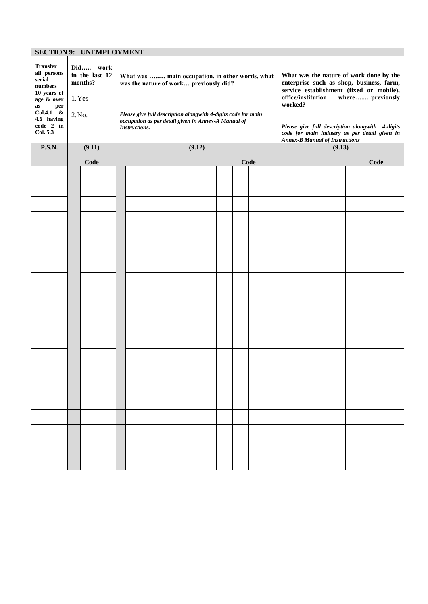| <b>SECTION 9: UNEMPLOYMENT</b>                                                                |        |                                       |  |                                                                                                                                              |                                                                                                                                           |                                                                                                                                                                                     |  |  |        |  |  |  |  |  |
|-----------------------------------------------------------------------------------------------|--------|---------------------------------------|--|----------------------------------------------------------------------------------------------------------------------------------------------|-------------------------------------------------------------------------------------------------------------------------------------------|-------------------------------------------------------------------------------------------------------------------------------------------------------------------------------------|--|--|--------|--|--|--|--|--|
| <b>Transfer</b><br>all persons<br>serial<br>numbers<br>10 years of<br>age & over<br>as<br>per | 1.Yes  | Did work<br>in the last 12<br>months? |  | What was  main occupation, in other words, what<br>was the nature of work previously did?                                                    |                                                                                                                                           | What was the nature of work done by the<br>enterprise such as shop, business, farm,<br>service establishment (fixed or mobile),<br>office/institution<br>wherepreviously<br>worked? |  |  |        |  |  |  |  |  |
| $Col.4.1 \&$<br>4.6 having<br>code 2 in<br>Col. 5.3                                           | 2. No. |                                       |  | Please give full description alongwith 4-digits code for main<br>occupation as per detail given in Annex-A Manual of<br><b>Instructions.</b> | Please give full description alongwith 4-digits<br>code for main industry as per detail given in<br><b>Annex-B Manual of Instructions</b> |                                                                                                                                                                                     |  |  |        |  |  |  |  |  |
| <b>P.S.N.</b>                                                                                 |        | (9.11)<br>(9.12)                      |  |                                                                                                                                              |                                                                                                                                           |                                                                                                                                                                                     |  |  | (9.13) |  |  |  |  |  |
|                                                                                               |        | Code                                  |  |                                                                                                                                              |                                                                                                                                           | Code                                                                                                                                                                                |  |  | Code   |  |  |  |  |  |
|                                                                                               |        |                                       |  |                                                                                                                                              |                                                                                                                                           |                                                                                                                                                                                     |  |  |        |  |  |  |  |  |
|                                                                                               |        |                                       |  |                                                                                                                                              |                                                                                                                                           |                                                                                                                                                                                     |  |  |        |  |  |  |  |  |
|                                                                                               |        |                                       |  |                                                                                                                                              |                                                                                                                                           |                                                                                                                                                                                     |  |  |        |  |  |  |  |  |
|                                                                                               |        |                                       |  |                                                                                                                                              |                                                                                                                                           |                                                                                                                                                                                     |  |  |        |  |  |  |  |  |
|                                                                                               |        |                                       |  |                                                                                                                                              |                                                                                                                                           |                                                                                                                                                                                     |  |  |        |  |  |  |  |  |
|                                                                                               |        |                                       |  |                                                                                                                                              |                                                                                                                                           |                                                                                                                                                                                     |  |  |        |  |  |  |  |  |
|                                                                                               |        |                                       |  |                                                                                                                                              |                                                                                                                                           |                                                                                                                                                                                     |  |  |        |  |  |  |  |  |
|                                                                                               |        |                                       |  |                                                                                                                                              |                                                                                                                                           |                                                                                                                                                                                     |  |  |        |  |  |  |  |  |
|                                                                                               |        |                                       |  |                                                                                                                                              |                                                                                                                                           |                                                                                                                                                                                     |  |  |        |  |  |  |  |  |
|                                                                                               |        |                                       |  |                                                                                                                                              |                                                                                                                                           |                                                                                                                                                                                     |  |  |        |  |  |  |  |  |
|                                                                                               |        |                                       |  |                                                                                                                                              |                                                                                                                                           |                                                                                                                                                                                     |  |  |        |  |  |  |  |  |
|                                                                                               |        |                                       |  |                                                                                                                                              |                                                                                                                                           |                                                                                                                                                                                     |  |  |        |  |  |  |  |  |
|                                                                                               |        |                                       |  |                                                                                                                                              |                                                                                                                                           |                                                                                                                                                                                     |  |  |        |  |  |  |  |  |
|                                                                                               |        |                                       |  |                                                                                                                                              |                                                                                                                                           |                                                                                                                                                                                     |  |  |        |  |  |  |  |  |
|                                                                                               |        |                                       |  |                                                                                                                                              |                                                                                                                                           |                                                                                                                                                                                     |  |  |        |  |  |  |  |  |
|                                                                                               |        |                                       |  |                                                                                                                                              |                                                                                                                                           |                                                                                                                                                                                     |  |  |        |  |  |  |  |  |
|                                                                                               |        |                                       |  |                                                                                                                                              |                                                                                                                                           |                                                                                                                                                                                     |  |  |        |  |  |  |  |  |
|                                                                                               |        |                                       |  |                                                                                                                                              |                                                                                                                                           |                                                                                                                                                                                     |  |  |        |  |  |  |  |  |
|                                                                                               |        |                                       |  |                                                                                                                                              |                                                                                                                                           |                                                                                                                                                                                     |  |  |        |  |  |  |  |  |
|                                                                                               |        |                                       |  |                                                                                                                                              |                                                                                                                                           |                                                                                                                                                                                     |  |  |        |  |  |  |  |  |
|                                                                                               |        |                                       |  |                                                                                                                                              |                                                                                                                                           |                                                                                                                                                                                     |  |  |        |  |  |  |  |  |